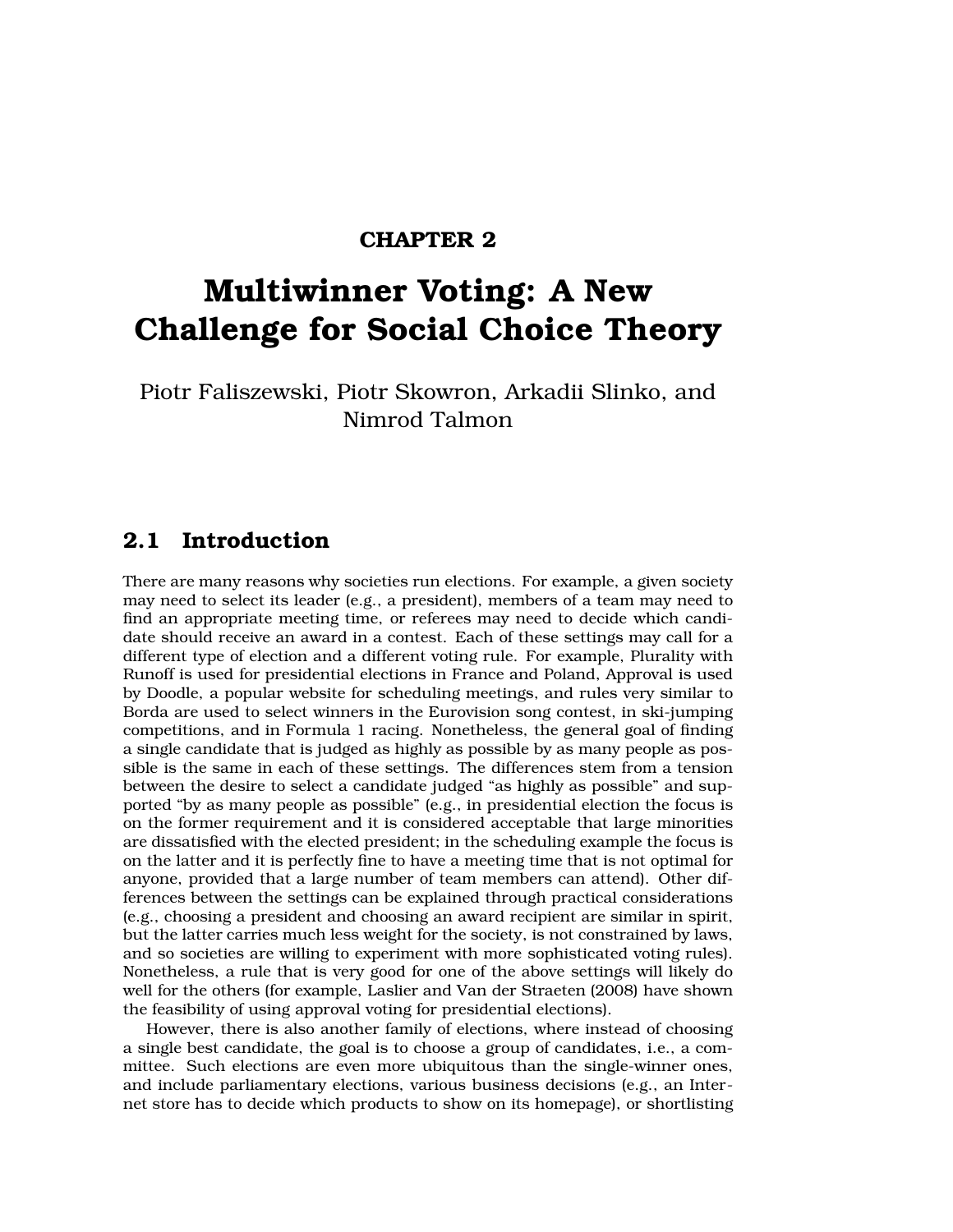### **CHAPTER 2**

# **Multiwinner Voting: A New Challenge for Social Choice Theory**

Piotr Faliszewski, Piotr Skowron, Arkadii Slinko, and Nimrod Talmon

# **2.1 Introduction**

There are many reasons why societies run elections. For example, a given society may need to select its leader (e.g., a president), members of a team may need to find an appropriate meeting time, or referees may need to decide which candidate should receive an award in a contest. Each of these settings may call for a different type of election and a different voting rule. For example, Plurality with Runoff is used for presidential elections in France and Poland, Approval is used by Doodle, a popular website for scheduling meetings, and rules very similar to Borda are used to select winners in the Eurovision song contest, in ski-jumping competitions, and in Formula 1 racing. Nonetheless, the general goal of finding a single candidate that is judged as highly as possible by as many people as possible is the same in each of these settings. The differences stem from a tension between the desire to select a candidate judged "as highly as possible" and supported "by as many people as possible" (e.g., in presidential election the focus is on the former requirement and it is considered acceptable that large minorities are dissatisfied with the elected president; in the scheduling example the focus is on the latter and it is perfectly fine to have a meeting time that is not optimal for anyone, provided that a large number of team members can attend). Other differences between the settings can be explained through practical considerations (e.g., choosing a president and choosing an award recipient are similar in spirit, but the latter carries much less weight for the society, is not constrained by laws, and so societies are willing to experiment with more sophisticated voting rules). Nonetheless, a rule that is very good for one of the above settings will likely do well for the others (for example, Laslier and Van der Straeten (2008) have shown the feasibility of using approval voting for presidential elections).

However, there is also another family of elections, where instead of choosing a single best candidate, the goal is to choose a group of candidates, i.e., a committee. Such elections are even more ubiquitous than the single-winner ones, and include parliamentary elections, various business decisions (e.g., an Internet store has to decide which products to show on its homepage), or shortlisting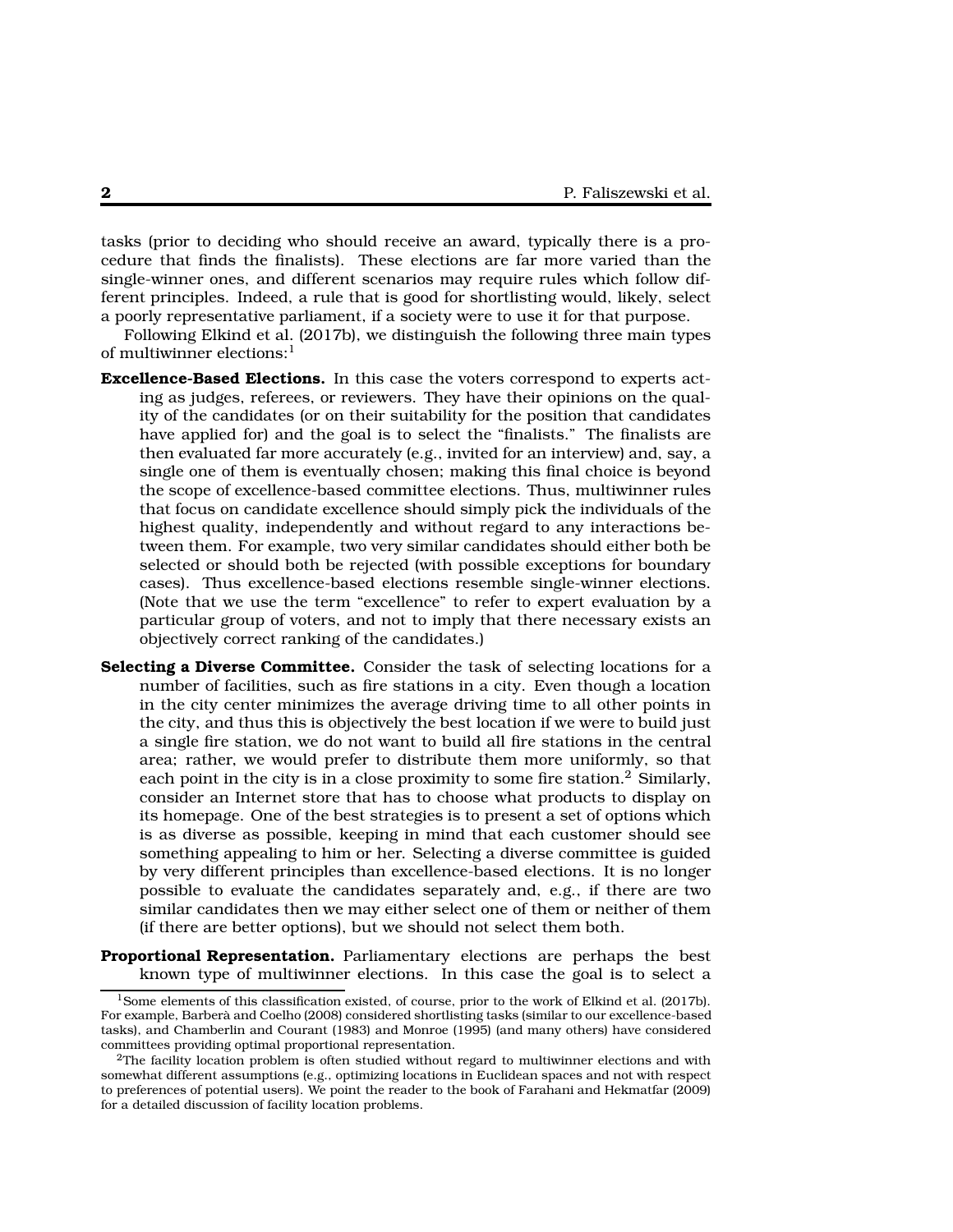tasks (prior to deciding who should receive an award, typically there is a procedure that finds the finalists). These elections are far more varied than the single-winner ones, and different scenarios may require rules which follow different principles. Indeed, a rule that is good for shortlisting would, likely, select a poorly representative parliament, if a society were to use it for that purpose.

Following Elkind et al. (2017b), we distinguish the following three main types of multiwinner elections:<sup>1</sup>

- **Excellence-Based Elections.** In this case the voters correspond to experts acting as judges, referees, or reviewers. They have their opinions on the quality of the candidates (or on their suitability for the position that candidates have applied for) and the goal is to select the "finalists." The finalists are then evaluated far more accurately (e.g., invited for an interview) and, say, a single one of them is eventually chosen; making this final choice is beyond the scope of excellence-based committee elections. Thus, multiwinner rules that focus on candidate excellence should simply pick the individuals of the highest quality, independently and without regard to any interactions between them. For example, two very similar candidates should either both be selected or should both be rejected (with possible exceptions for boundary cases). Thus excellence-based elections resemble single-winner elections. (Note that we use the term "excellence" to refer to expert evaluation by a particular group of voters, and not to imply that there necessary exists an objectively correct ranking of the candidates.)
- **Selecting a Diverse Committee.** Consider the task of selecting locations for a number of facilities, such as fire stations in a city. Even though a location in the city center minimizes the average driving time to all other points in the city, and thus this is objectively the best location if we were to build just a single fire station, we do not want to build all fire stations in the central area; rather, we would prefer to distribute them more uniformly, so that each point in the city is in a close proximity to some fire station.<sup>2</sup> Similarly, consider an Internet store that has to choose what products to display on its homepage. One of the best strategies is to present a set of options which is as diverse as possible, keeping in mind that each customer should see something appealing to him or her. Selecting a diverse committee is guided by very different principles than excellence-based elections. It is no longer possible to evaluate the candidates separately and, e.g., if there are two similar candidates then we may either select one of them or neither of them (if there are better options), but we should not select them both.
- **Proportional Representation.** Parliamentary elections are perhaps the best known type of multiwinner elections. In this case the goal is to select a

<sup>1</sup>Some elements of this classification existed, of course, prior to the work of Elkind et al. (2017b). For example, Barberà and Coelho (2008) considered shortlisting tasks (similar to our excellence-based tasks), and Chamberlin and Courant (1983) and Monroe (1995) (and many others) have considered committees providing optimal proportional representation.

 $^{2}$ The facility location problem is often studied without regard to multiwinner elections and with somewhat different assumptions (e.g., optimizing locations in Euclidean spaces and not with respect to preferences of potential users). We point the reader to the book of Farahani and Hekmatfar (2009) for a detailed discussion of facility location problems.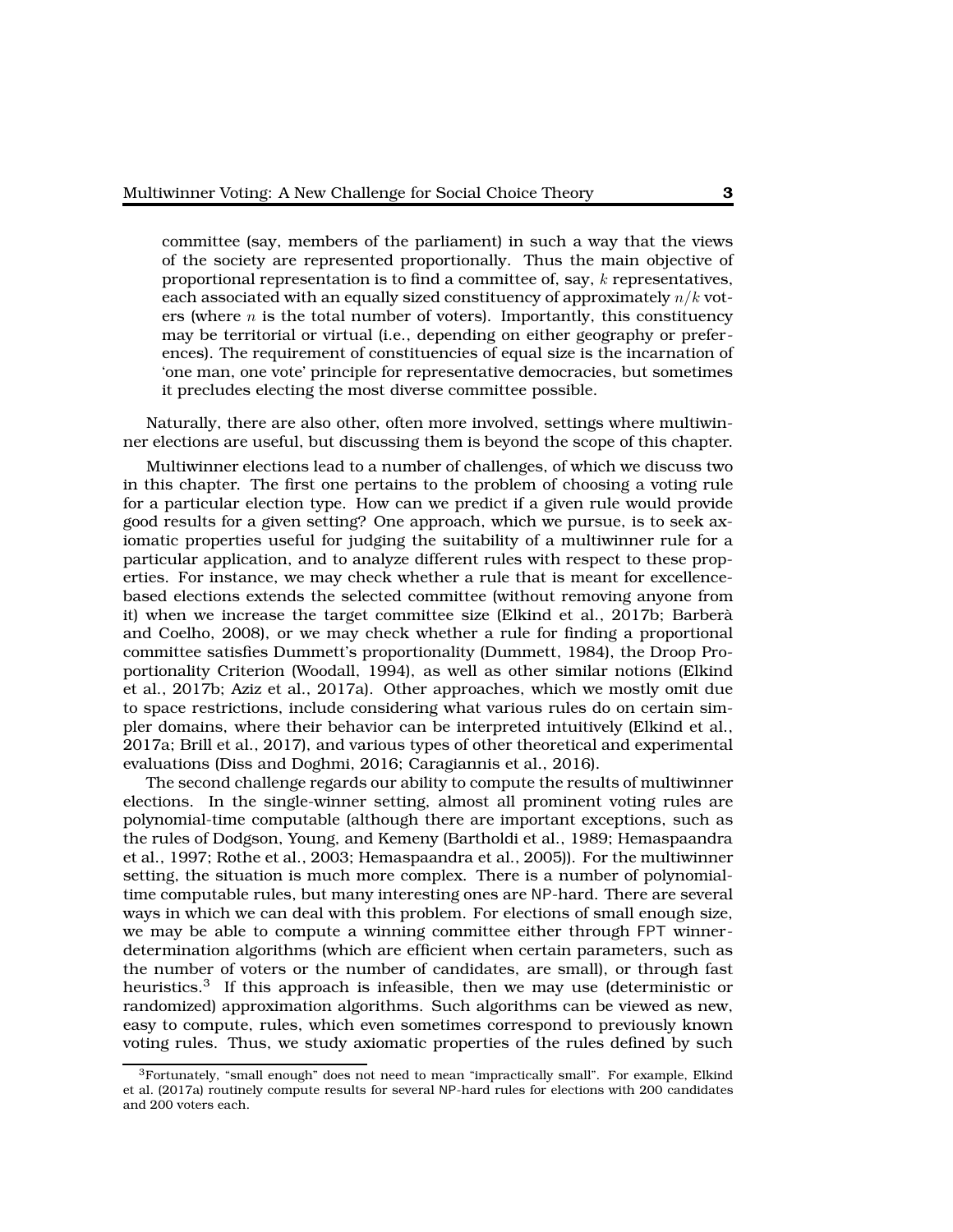committee (say, members of the parliament) in such a way that the views of the society are represented proportionally. Thus the main objective of proportional representation is to find a committee of, say,  $k$  representatives, each associated with an equally sized constituency of approximately  $n/k$  voters (where  $n$  is the total number of voters). Importantly, this constituency may be territorial or virtual (i.e., depending on either geography or preferences). The requirement of constituencies of equal size is the incarnation of 'one man, one vote' principle for representative democracies, but sometimes it precludes electing the most diverse committee possible.

Naturally, there are also other, often more involved, settings where multiwinner elections are useful, but discussing them is beyond the scope of this chapter.

Multiwinner elections lead to a number of challenges, of which we discuss two in this chapter. The first one pertains to the problem of choosing a voting rule for a particular election type. How can we predict if a given rule would provide good results for a given setting? One approach, which we pursue, is to seek axiomatic properties useful for judging the suitability of a multiwinner rule for a particular application, and to analyze different rules with respect to these properties. For instance, we may check whether a rule that is meant for excellencebased elections extends the selected committee (without removing anyone from it) when we increase the target committee size (Elkind et al., 2017b; Barberà and Coelho, 2008), or we may check whether a rule for finding a proportional committee satisfies Dummett's proportionality (Dummett, 1984), the Droop Proportionality Criterion (Woodall, 1994), as well as other similar notions (Elkind et al., 2017b; Aziz et al., 2017a). Other approaches, which we mostly omit due to space restrictions, include considering what various rules do on certain simpler domains, where their behavior can be interpreted intuitively (Elkind et al., 2017a; Brill et al., 2017), and various types of other theoretical and experimental evaluations (Diss and Doghmi, 2016; Caragiannis et al., 2016).

The second challenge regards our ability to compute the results of multiwinner elections. In the single-winner setting, almost all prominent voting rules are polynomial-time computable (although there are important exceptions, such as the rules of Dodgson, Young, and Kemeny (Bartholdi et al., 1989; Hemaspaandra et al., 1997; Rothe et al., 2003; Hemaspaandra et al., 2005)). For the multiwinner setting, the situation is much more complex. There is a number of polynomialtime computable rules, but many interesting ones are NP-hard. There are several ways in which we can deal with this problem. For elections of small enough size, we may be able to compute a winning committee either through FPT winnerdetermination algorithms (which are efficient when certain parameters, such as the number of voters or the number of candidates, are small), or through fast heuristics. $3$  If this approach is infeasible, then we may use (deterministic or randomized) approximation algorithms. Such algorithms can be viewed as new, easy to compute, rules, which even sometimes correspond to previously known voting rules. Thus, we study axiomatic properties of the rules defined by such

 ${}^{3}$ Fortunately, "small enough" does not need to mean "impractically small". For example, Elkind et al. (2017a) routinely compute results for several NP-hard rules for elections with 200 candidates and 200 voters each.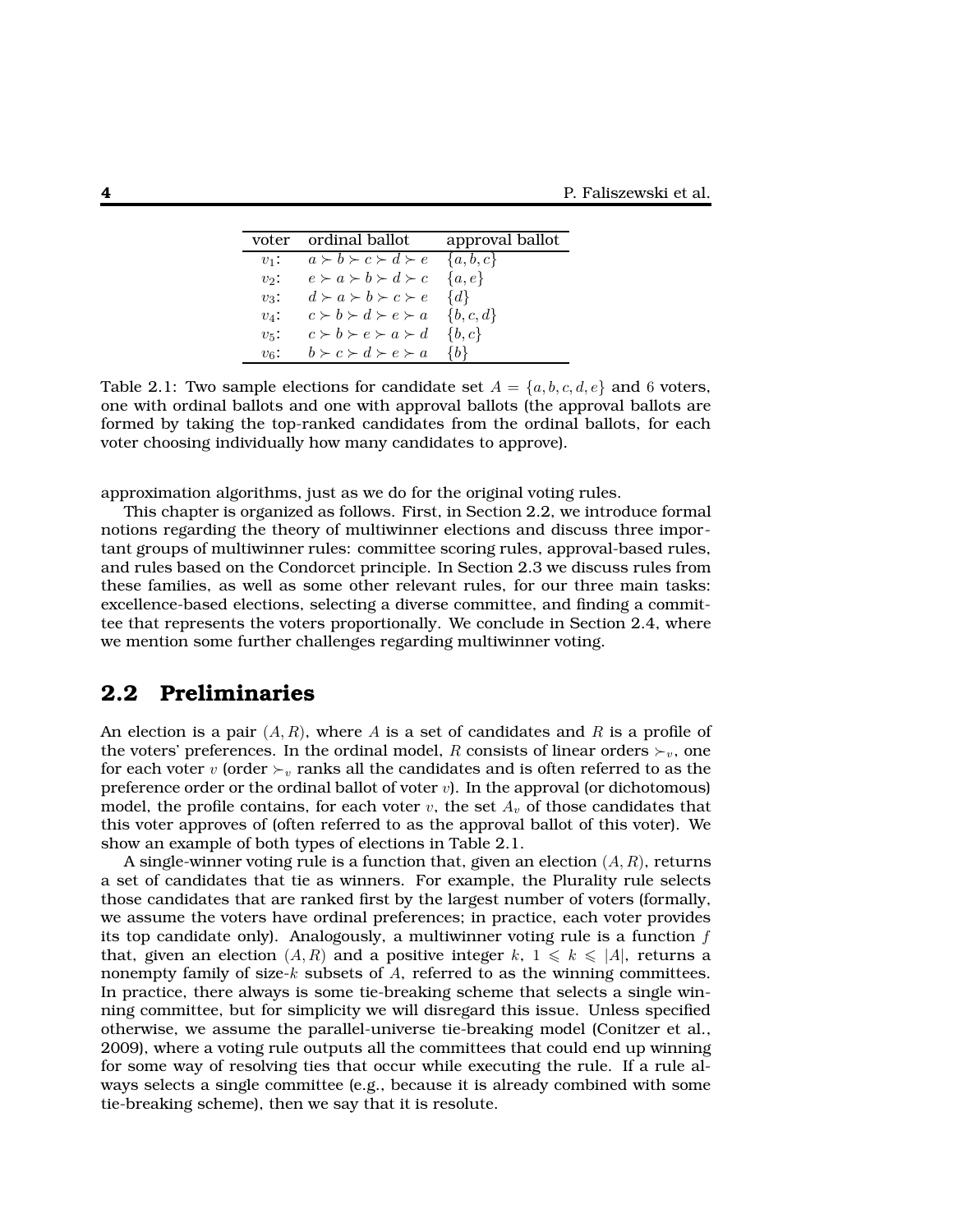|           | voter ordinal ballot                          | approval ballot |
|-----------|-----------------------------------------------|-----------------|
| $v_1$ :   | $a \succ b \succ c \succ d \succ e$           | $\{a,b,c\}$     |
| $v_2$ :   | $e \succ a \succ b \succ d \succ c$           | $\{a,e\}$       |
| $v_3$ :   | $d \succ a \succ b \succ c \succ e$           | $\{d\}$         |
| $v_4$ :   | $c \succ b \succ d \succ e \succ a$ {b, c, d} |                 |
| $v_{5}$ : | $c \succ b \succ e \succ a \succ d$           | $\{b,c\}$       |
| $v_{6}$ : | $b \succ c \succ d \succ e \succ a$           | $\{b\}$         |

Table 2.1: Two sample elections for candidate set  $A = \{a, b, c, d, e\}$  and 6 voters, one with ordinal ballots and one with approval ballots (the approval ballots are formed by taking the top-ranked candidates from the ordinal ballots, for each voter choosing individually how many candidates to approve).

approximation algorithms, just as we do for the original voting rules.

This chapter is organized as follows. First, in Section 2.2, we introduce formal notions regarding the theory of multiwinner elections and discuss three important groups of multiwinner rules: committee scoring rules, approval-based rules, and rules based on the Condorcet principle. In Section 2.3 we discuss rules from these families, as well as some other relevant rules, for our three main tasks: excellence-based elections, selecting a diverse committee, and finding a committee that represents the voters proportionally. We conclude in Section 2.4, where we mention some further challenges regarding multiwinner voting.

### **2.2 Preliminaries**

An election is a pair  $(A, R)$ , where A is a set of candidates and R is a profile of the voters' preferences. In the ordinal model, R consists of linear orders  $\succ_v$ , one for each voter v (order  $\succ_v$  ranks all the candidates and is often referred to as the preference order or the ordinal ballot of voter  $v$ ). In the approval (or dichotomous) model, the profile contains, for each voter v, the set  $A<sub>v</sub>$  of those candidates that this voter approves of (often referred to as the approval ballot of this voter). We show an example of both types of elections in Table 2.1.

A single-winner voting rule is a function that, given an election  $(A, R)$ , returns a set of candidates that tie as winners. For example, the Plurality rule selects those candidates that are ranked first by the largest number of voters (formally, we assume the voters have ordinal preferences; in practice, each voter provides its top candidate only). Analogously, a multiwinner voting rule is a function  $f$ that, given an election  $(A, R)$  and a positive integer k,  $1 \leq k \leq |A|$ , returns a nonempty family of size- $k$  subsets of  $A$ , referred to as the winning committees. In practice, there always is some tie-breaking scheme that selects a single winning committee, but for simplicity we will disregard this issue. Unless specified otherwise, we assume the parallel-universe tie-breaking model (Conitzer et al., 2009), where a voting rule outputs all the committees that could end up winning for some way of resolving ties that occur while executing the rule. If a rule always selects a single committee (e.g., because it is already combined with some tie-breaking scheme), then we say that it is resolute.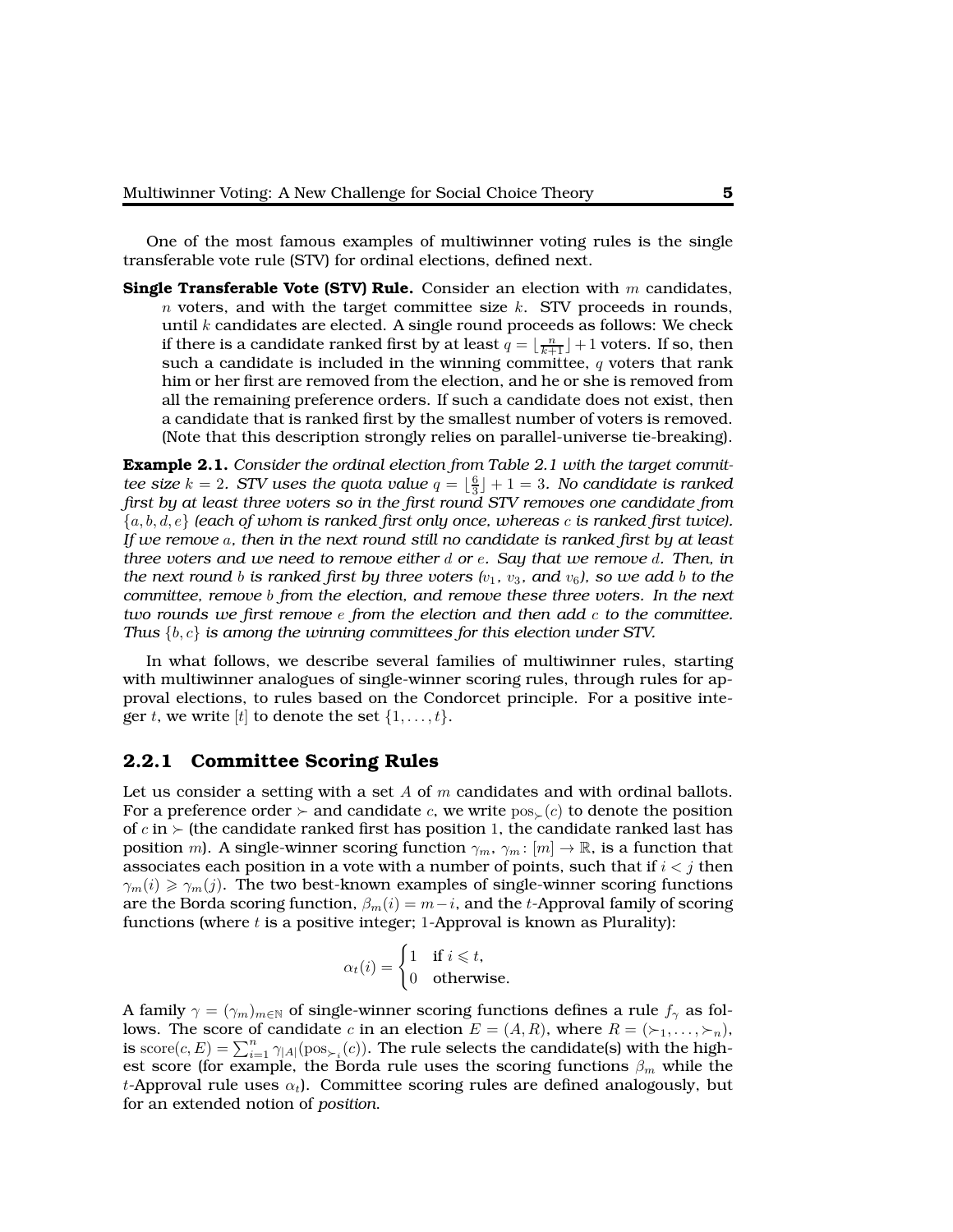One of the most famous examples of multiwinner voting rules is the single transferable vote rule (STV) for ordinal elections, defined next.

**Single Transferable Vote (STV) Rule.** Consider an election with m candidates,  $n$  voters, and with the target committee size  $k$ . STV proceeds in rounds, until  $k$  candidates are elected. A single round proceeds as follows: We check if there is a candidate ranked first by at least  $q = \lfloor \frac{n}{k+1} \rfloor + 1$  voters. If so, then such a candidate is included in the winning committee,  $q$  voters that rank him or her first are removed from the election, and he or she is removed from all the remaining preference orders. If such a candidate does not exist, then a candidate that is ranked first by the smallest number of voters is removed. (Note that this description strongly relies on parallel-universe tie-breaking).

**Example 2.1.** *Consider the ordinal election from Table 2.1 with the target committee size*  $k = 2$ *. STV uses the quota value*  $q = \lfloor \frac{6}{3} \rfloor + 1 = 3$ *. No candidate is ranked first by at least three voters so in the first round STV removes one candidate from* {a, b, d, e} *(each of whom is ranked first only once, whereas* c *is ranked first twice). If we remove* a*, then in the next round still no candidate is ranked first by at least three voters and we need to remove either* d *or* e*. Say that we remove* d*. Then, in the next round* b *is ranked first by three voters*  $(v_1, v_3, \text{ and } v_6)$ , so we add b to the *committee, remove* b *from the election, and remove these three voters. In the next two rounds we first remove* e *from the election and then add* c *to the committee. Thus* {b, c} *is among the winning committees for this election under STV.*

In what follows, we describe several families of multiwinner rules, starting with multiwinner analogues of single-winner scoring rules, through rules for approval elections, to rules based on the Condorcet principle. For a positive integer t, we write [t] to denote the set  $\{1, \ldots, t\}$ .

#### **2.2.1 Committee Scoring Rules**

Let us consider a setting with a set A of  $m$  candidates and with ordinal ballots. For a preference order  $\succ$  and candidate c, we write  $pos_+(c)$  to denote the position of c in ≻ (the candidate ranked first has position 1, the candidate ranked last has position m). A single-winner scoring function  $\gamma_m$ ,  $\gamma_m$ :  $[m] \to \mathbb{R}$ , is a function that associates each position in a vote with a number of points, such that if  $i < j$  then  $\gamma_m(i) \geq \gamma_m(j)$ . The two best-known examples of single-winner scoring functions are the Borda scoring function,  $\beta_m(i) = m-i$ , and the t-Approval family of scoring functions (where  $t$  is a positive integer; 1-Approval is known as Plurality):

$$
\alpha_t(i) = \begin{cases} 1 & \text{if } i \leq t, \\ 0 & \text{otherwise.} \end{cases}
$$

A family  $\gamma = (\gamma_m)_{m \in \mathbb{N}}$  of single-winner scoring functions defines a rule  $f_\gamma$  as follows. The score of candidate c in an election  $E = (A, R)$ , where  $R = (\succ_1, \ldots, \succ_n)$ , is  $\text{score}(c, E) = \sum_{i=1}^{n} \gamma_{|A|}(\text{pos}_{\succ_i}(c))$ . The rule selects the candidate(s) with the highest score (for example, the Borda rule uses the scoring functions  $\beta_m$  while the t-Approval rule uses  $\alpha_t$ ). Committee scoring rules are defined analogously, but for an extended notion of *position*.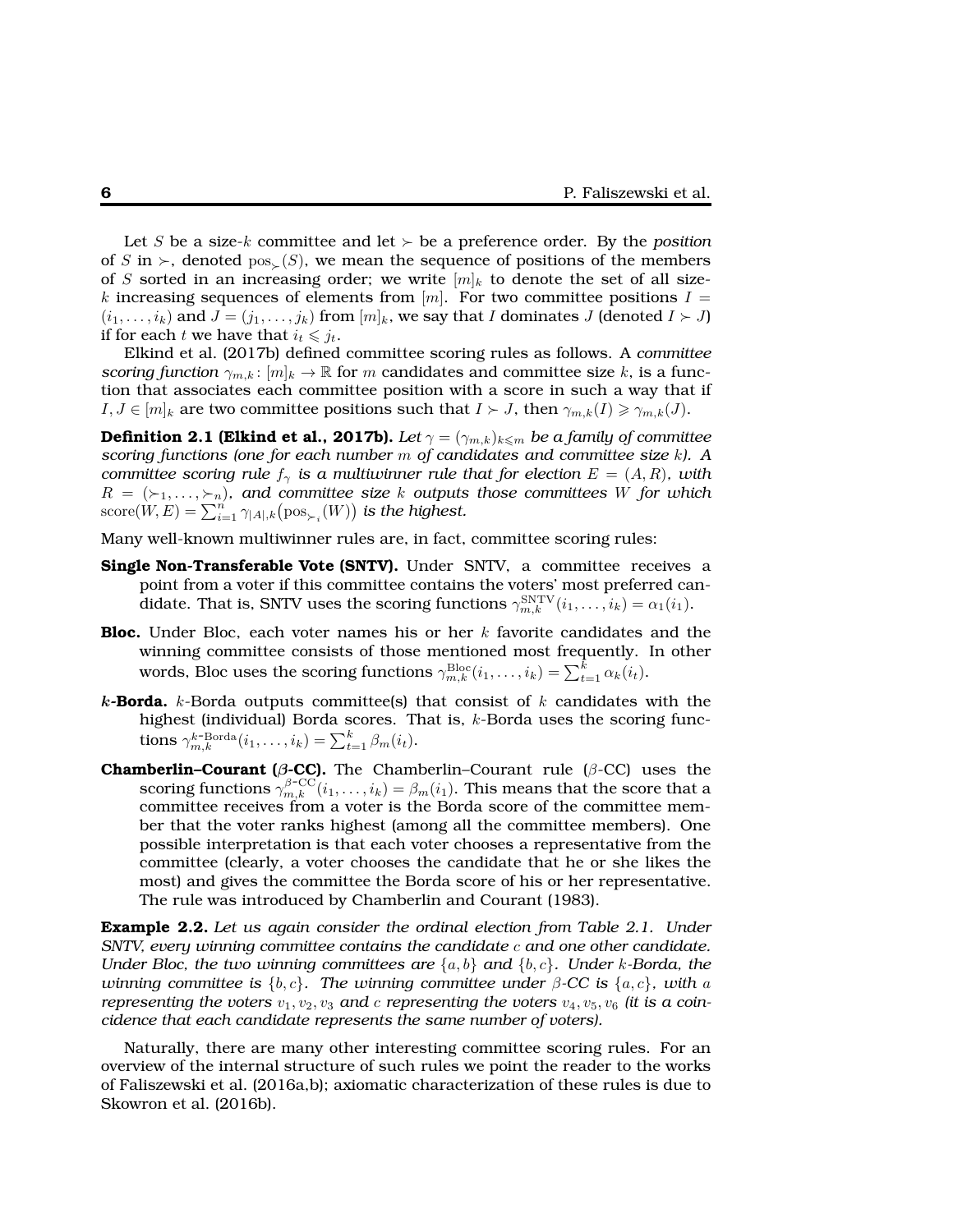Let S be a size-k committee and let  $\succ$  be a preference order. By the *position* of S in ≻, denoted  $pos_-(S)$ , we mean the sequence of positions of the members of S sorted in an increasing order; we write  $[m]_k$  to denote the set of all sizek increasing sequences of elements from  $[m]$ . For two committee positions  $I =$  $(i_1, \ldots, i_k)$  and  $J = (j_1, \ldots, j_k)$  from  $[m]_k$ , we say that I dominates J (denoted  $I \succ J$ ) if for each t we have that  $i_t \leq j_t$ .

Elkind et al. (2017b) defined committee scoring rules as follows. A *committee scoring function*  $\gamma_{m,k}$ :  $[m]_k \to \mathbb{R}$  for m candidates and committee size k, is a function that associates each committee position with a score in such a way that if  $I, J \in [m]_k$  are two committee positions such that  $I \succ J$ , then  $\gamma_{m,k}(I) \geq \gamma_{m,k}(J)$ .

**Definition 2.1 (Elkind et al., 2017b).** *Let*  $\gamma = (\gamma_{m,k})_{k \leq m}$  *be a family of committee scoring functions (one for each number* m *of candidates and committee size* k*). A committee scoring rule*  $f_\gamma$  *is a multiwinner rule that for election*  $E = (A, R)$ *, with*  $R = (\succ_1, \ldots, \succ_n)$ , and committee size k outputs those committees W for which  $\text{score}(W, E) = \sum_{i=1}^n \gamma_{|A|,k} \bigl( \text{pos}_{\succ_i}(W) \bigr)$  is the highest.

Many well-known multiwinner rules are, in fact, committee scoring rules:

- **Single Non-Transferable Vote (SNTV).** Under SNTV, a committee receives a point from a voter if this committee contains the voters' most preferred candidate. That is, SNTV uses the scoring functions  $\gamma_{m,k}^{\rm SNTV}(i_1,\ldots,i_k) = \alpha_1(i_1)$ .
- **Bloc.** Under Bloc, each voter names his or her  $k$  favorite candidates and the winning committee consists of those mentioned most frequently. In other words, Bloc uses the scoring functions  $\gamma^{\text{Bloc}}_{m,k}(i_1,\ldots,i_k)=\sum_{t=1}^k \alpha_k(i_t).$
- $k$ -**Borda.** k-Borda outputs committee(s) that consist of k candidates with the highest (individual) Borda scores. That is,  $k$ -Borda uses the scoring functions  $\gamma_{m,k}^{k\text{-Borda}}(i_1,\ldots,i_k) = \sum_{t=1}^k \beta_m(i_t)$ .
- **Chamberlin–Courant (**β**-CC).** The Chamberlin–Courant rule (β-CC) uses the scoring functions  $\gamma_{m,k}^{\beta$ -CC $(i_1,\ldots,i_k) = \beta_m(i_1)$ . This means that the score that a committee receives from a voter is the Borda score of the committee member that the voter ranks highest (among all the committee members). One possible interpretation is that each voter chooses a representative from the committee (clearly, a voter chooses the candidate that he or she likes the most) and gives the committee the Borda score of his or her representative. The rule was introduced by Chamberlin and Courant (1983).

**Example 2.2.** *Let us again consider the ordinal election from Table 2.1. Under SNTV, every winning committee contains the candidate c and one other candidate. Under Bloc, the two winning committees are*  $\{a, b\}$  *and*  $\{b, c\}$ *. Under* k-Borda, the *winning committee is*  ${b, c}$ *. The winning committee under*  $\beta$ -CC is  ${a, c}$ *, with a representing the voters*  $v_1, v_2, v_3$  *and* c *representing the voters*  $v_4, v_5, v_6$  (*it is a coincidence that each candidate represents the same number of voters).*

Naturally, there are many other interesting committee scoring rules. For an overview of the internal structure of such rules we point the reader to the works of Faliszewski et al. (2016a,b); axiomatic characterization of these rules is due to Skowron et al. (2016b).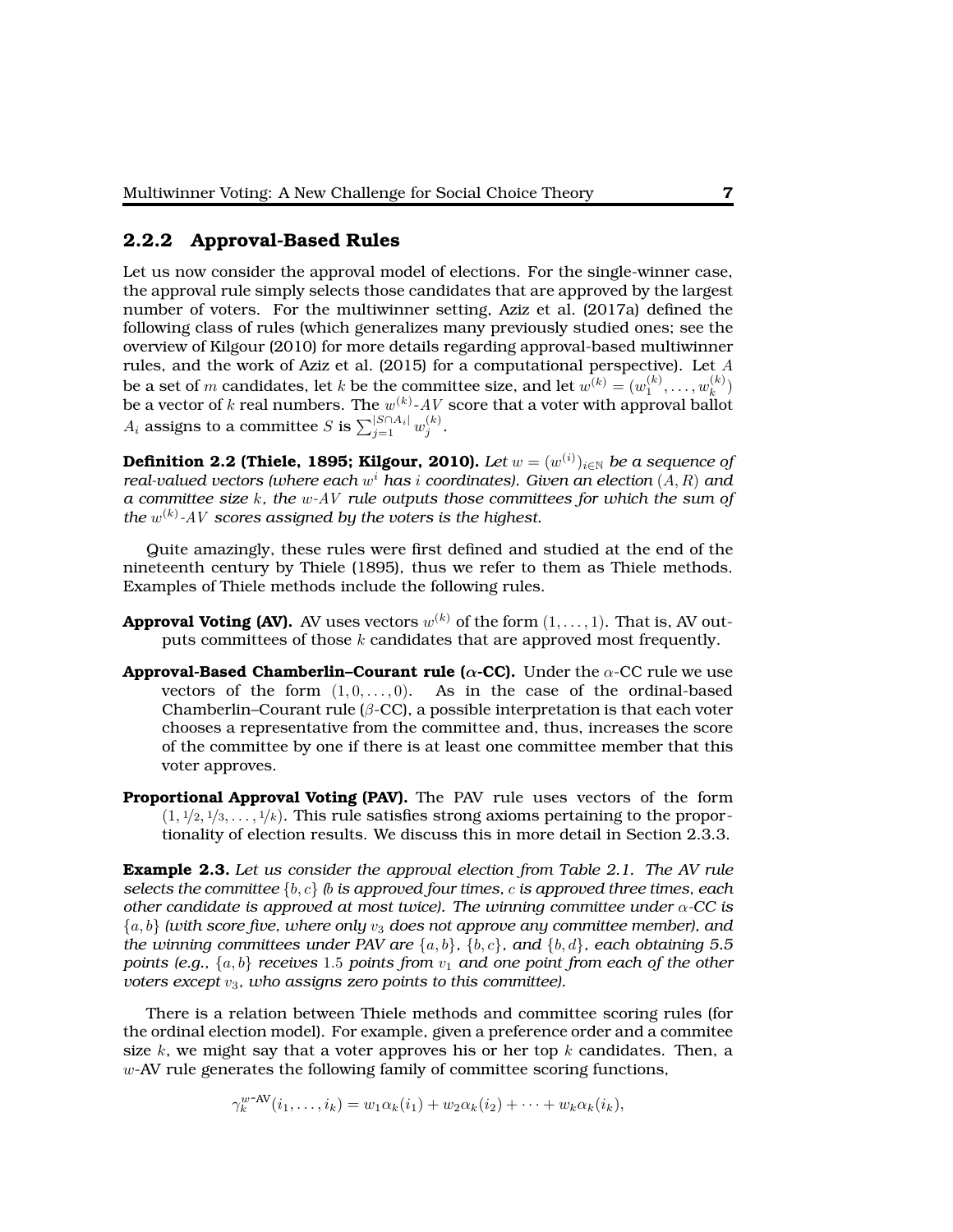#### **2.2.2 Approval-Based Rules**

Let us now consider the approval model of elections. For the single-winner case, the approval rule simply selects those candidates that are approved by the largest number of voters. For the multiwinner setting, Aziz et al. (2017a) defined the following class of rules (which generalizes many previously studied ones; see the overview of Kilgour (2010) for more details regarding approval-based multiwinner rules, and the work of Aziz et al. (2015) for a computational perspective). Let  $A$ be a set of  $m$  candidates, let  $k$  be the committee size, and let  $w^{(k)} = (w^{(k)}_1, \ldots, w^{(k)}_k)$  $\binom{\kappa}{k}$ be a vector of k real numbers. The  $w^{(k)}$ - $AV$  score that a voter with approval ballot  $A_i$  assigns to a committee  $S$  is  $\sum_{j=1}^{|S \cap A_i|} w_j^{(k)}.$ 

**Definition 2.2 (Thiele, 1895; Kilgour, 2010).** *Let*  $w = (w^{(i)})_{i \in \mathbb{N}}$  *be a sequence of real-valued vectors (where each* w <sup>i</sup> *has* i *coordinates). Given an election* (A, R) *and a committee size* k*, the* w*-*AV *rule outputs those committees for which the sum of the* w (k) *-*AV *scores assigned by the voters is the highest.*

Quite amazingly, these rules were first defined and studied at the end of the nineteenth century by Thiele (1895), thus we refer to them as Thiele methods. Examples of Thiele methods include the following rules.

- **Approval Voting (AV).** AV uses vectors  $w^{(k)}$  of the form  $(1,\ldots,1).$  That is, AV outputs committees of those  $k$  candidates that are approved most frequently.
- **Approval-Based Chamberlin–Courant rule (** $\alpha$ **-CC).** Under the  $\alpha$ -CC rule we use vectors of the form  $(1, 0, \ldots, 0)$ . As in the case of the ordinal-based Chamberlin–Courant rule ( $\beta$ -CC), a possible interpretation is that each voter chooses a representative from the committee and, thus, increases the score of the committee by one if there is at least one committee member that this voter approves.
- **Proportional Approval Voting (PAV).** The PAV rule uses vectors of the form  $(1, \frac{1}{2}, \frac{1}{3}, \ldots, \frac{1}{k})$ . This rule satisfies strong axioms pertaining to the proportionality of election results. We discuss this in more detail in Section 2.3.3.

**Example 2.3.** *Let us consider the approval election from Table 2.1. The AV rule selects the committee* {b, c} *(*b *is approved four times,* c *is approved three times, each other candidate is approved at most twice). The winning committee under* α*-CC is*  $\{a, b\}$  *(with score five, where only*  $v_3$  *does not approve any committee member), and the winning committees under PAV are*  $\{a, b\}$ ,  $\{b, c\}$ *, and*  $\{b, d\}$ *, each obtaining 5.5 points (e.g.,*  $\{a, b\}$  *receives* 1.5 *points from*  $v_1$  *and one point from each of the other voters except*  $v_3$ *, who assigns zero points to this committee).* 

There is a relation between Thiele methods and committee scoring rules (for the ordinal election model). For example, given a preference order and a commitee size k, we might say that a voter approves his or her top k candidates. Then, a  $w$ -AV rule generates the following family of committee scoring functions,

 $\gamma_k^{w\text{-AV}}(i_1,\ldots,i_k) = w_1 \alpha_k(i_1) + w_2 \alpha_k(i_2) + \cdots + w_k \alpha_k(i_k),$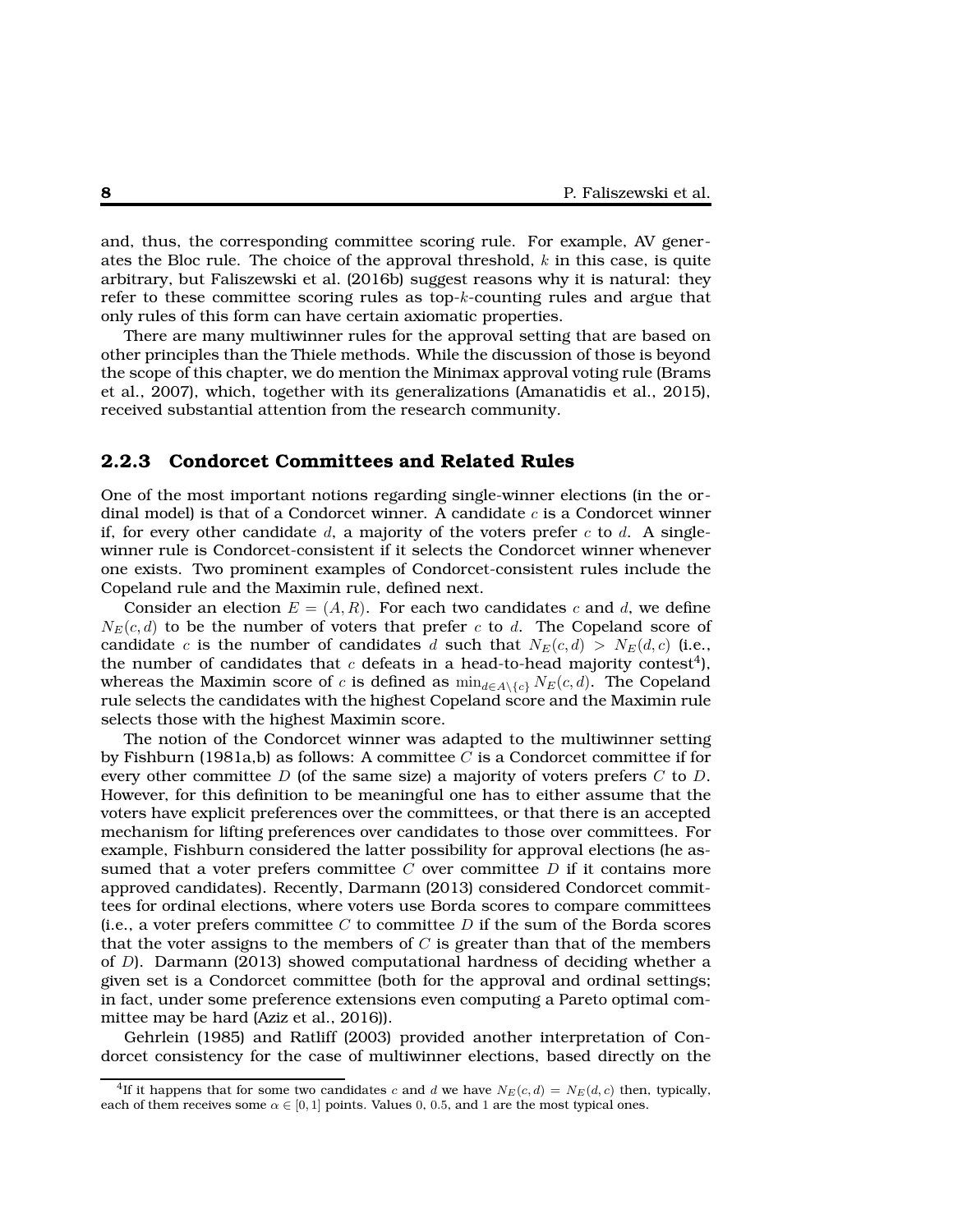and, thus, the corresponding committee scoring rule. For example, AV generates the Bloc rule. The choice of the approval threshold,  $k$  in this case, is quite arbitrary, but Faliszewski et al. (2016b) suggest reasons why it is natural: they refer to these committee scoring rules as top- $k$ -counting rules and argue that only rules of this form can have certain axiomatic properties.

There are many multiwinner rules for the approval setting that are based on other principles than the Thiele methods. While the discussion of those is beyond the scope of this chapter, we do mention the Minimax approval voting rule (Brams et al., 2007), which, together with its generalizations (Amanatidis et al., 2015), received substantial attention from the research community.

#### **2.2.3 Condorcet Committees and Related Rules**

One of the most important notions regarding single-winner elections (in the ordinal model) is that of a Condorcet winner. A candidate  $c$  is a Condorcet winner if, for every other candidate d, a majority of the voters prefer c to d. A singlewinner rule is Condorcet-consistent if it selects the Condorcet winner whenever one exists. Two prominent examples of Condorcet-consistent rules include the Copeland rule and the Maximin rule, defined next.

Consider an election  $E = (A, R)$ . For each two candidates c and d, we define  $N_E(c, d)$  to be the number of voters that prefer c to d. The Copeland score of candidate c is the number of candidates d such that  $N_E(c, d) > N_E(d, c)$  (i.e., the number of candidates that  $c$  defeats in a head-to-head majority contest<sup>4</sup>), whereas the Maximin score of c is defined as  $\min_{d \in A \setminus \{c\}} N_E(c, d)$ . The Copeland rule selects the candidates with the highest Copeland score and the Maximin rule selects those with the highest Maximin score.

The notion of the Condorcet winner was adapted to the multiwinner setting by Fishburn (1981a,b) as follows: A committee  $C$  is a Condorcet committee if for every other committee D (of the same size) a majority of voters prefers  $C$  to  $D$ . However, for this definition to be meaningful one has to either assume that the voters have explicit preferences over the committees, or that there is an accepted mechanism for lifting preferences over candidates to those over committees. For example, Fishburn considered the latter possibility for approval elections (he assumed that a voter prefers committee  $C$  over committee  $D$  if it contains more approved candidates). Recently, Darmann (2013) considered Condorcet committees for ordinal elections, where voters use Borda scores to compare committees (i.e., a voter prefers committee  $C$  to committee  $D$  if the sum of the Borda scores that the voter assigns to the members of  $C$  is greater than that of the members of D). Darmann (2013) showed computational hardness of deciding whether a given set is a Condorcet committee (both for the approval and ordinal settings; in fact, under some preference extensions even computing a Pareto optimal committee may be hard (Aziz et al., 2016)).

Gehrlein (1985) and Ratliff (2003) provided another interpretation of Condorcet consistency for the case of multiwinner elections, based directly on the

<sup>&</sup>lt;sup>4</sup>If it happens that for some two candidates c and d we have  $N_E(c, d) = N_E(d, c)$  then, typically, each of them receives some  $\alpha \in [0, 1]$  points. Values 0, 0.5, and 1 are the most typical ones.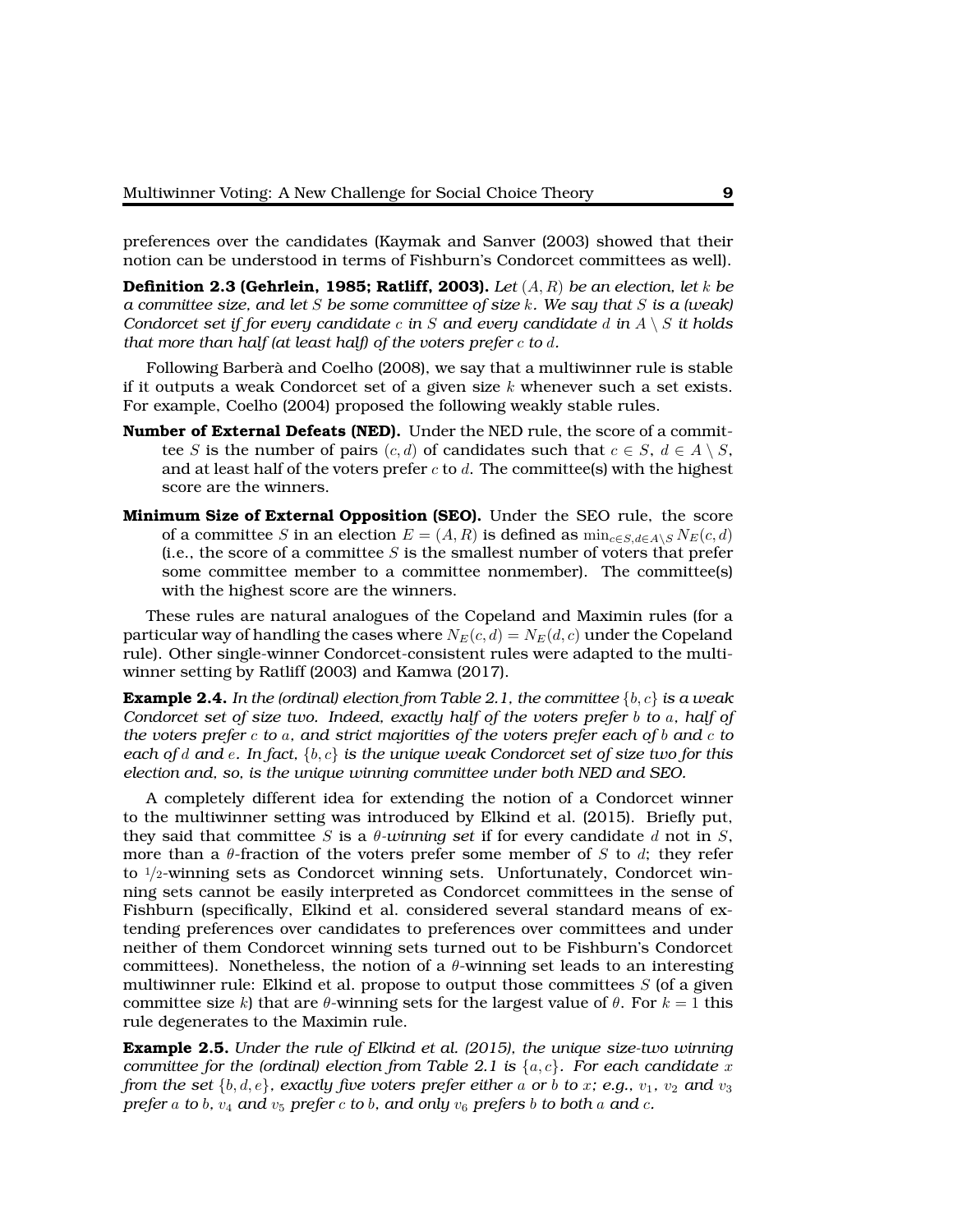preferences over the candidates (Kaymak and Sanver (2003) showed that their notion can be understood in terms of Fishburn's Condorcet committees as well).

**Definition 2.3 (Gehrlein, 1985; Ratliff, 2003).** *Let* (A, R) *be an election, let* k *be a committee size, and let* S *be some committee of size* k*. We say that* S *is a (weak) Condorcet set if for every candidate* c *in* S *and every candidate* d *in* A \ S *it holds that more than half (at least half) of the voters prefer* c *to* d*.*

Following Barberà and Coelho (2008), we say that a multiwinner rule is stable if it outputs a weak Condorcet set of a given size  $k$  whenever such a set exists. For example, Coelho (2004) proposed the following weakly stable rules.

- **Number of External Defeats (NED).** Under the NED rule, the score of a committee S is the number of pairs  $(c, d)$  of candidates such that  $c \in S$ ,  $d \in A \setminus S$ , and at least half of the voters prefer  $c$  to  $d$ . The committee(s) with the highest score are the winners.
- **Minimum Size of External Opposition (SEO).** Under the SEO rule, the score of a committee S in an election  $E = (A, R)$  is defined as  $\min_{c \in S, d \in A \setminus S} N_E(c, d)$ (i.e., the score of a committee  $S$  is the smallest number of voters that prefer some committee member to a committee nonmember). The committee(s) with the highest score are the winners.

These rules are natural analogues of the Copeland and Maximin rules (for a particular way of handling the cases where  $N_E(c, d) = N_E(d, c)$  under the Copeland rule). Other single-winner Condorcet-consistent rules were adapted to the multiwinner setting by Ratliff (2003) and Kamwa (2017).

**Example 2.4.** In the (ordinal) election from Table 2.1, the committee  $\{b, c\}$  is a weak *Condorcet set of size two. Indeed, exactly half of the voters prefer* b *to* a*, half of the voters prefer* c *to* a*, and strict majorities of the voters prefer each of* b *and* c *to each of* d *and* e*. In fact,* {b, c} *is the unique weak Condorcet set of size two for this election and, so, is the unique winning committee under both NED and SEO.*

A completely different idea for extending the notion of a Condorcet winner to the multiwinner setting was introduced by Elkind et al. (2015). Briefly put, they said that committee S is a  $\theta$ -winning set if for every candidate d not in S, more than a  $\theta$ -fraction of the voters prefer some member of S to d; they refer to  $1/2$ -winning sets as Condorcet winning sets. Unfortunately, Condorcet winning sets cannot be easily interpreted as Condorcet committees in the sense of Fishburn (specifically, Elkind et al. considered several standard means of extending preferences over candidates to preferences over committees and under neither of them Condorcet winning sets turned out to be Fishburn's Condorcet committees). Nonetheless, the notion of a  $\theta$ -winning set leads to an interesting multiwinner rule: Elkind et al. propose to output those committees  $S$  (of a given committee size k) that are  $\theta$ -winning sets for the largest value of  $\theta$ . For  $k = 1$  this rule degenerates to the Maximin rule.

**Example 2.5.** *Under the rule of Elkind et al. (2015), the unique size-two winning committee for the (ordinal) election from Table 2.1 is*  $\{a, c\}$ *. For each candidate* x *from the set*  $\{b, d, e\}$ *, exactly five voters prefer either* a *or* b to x; e.g.,  $v_1$ ,  $v_2$  and  $v_3$ *prefer* a *to b,*  $v_4$  and  $v_5$  *prefer c to b,* and only  $v_6$  *prefers b to both* a *and c.*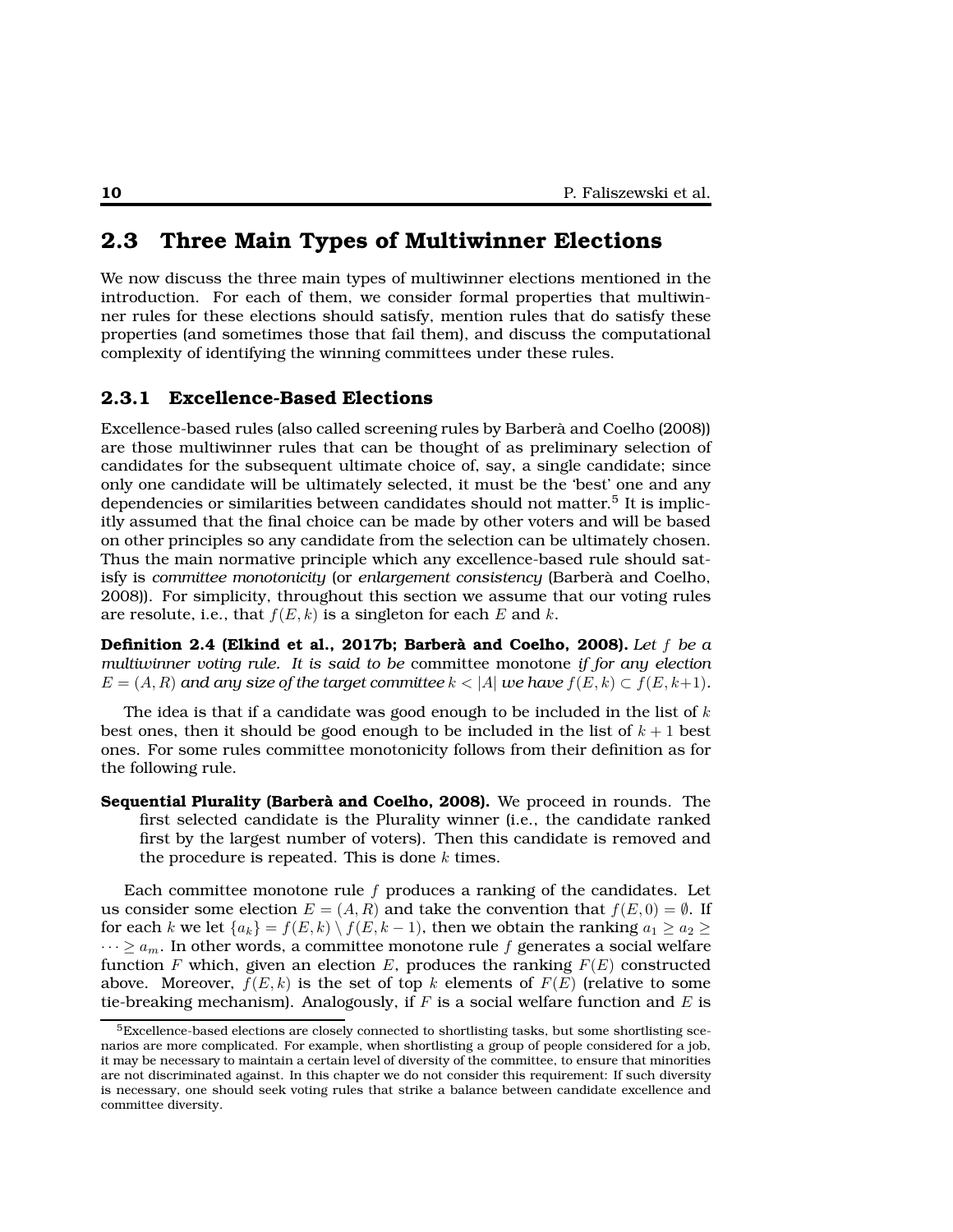## **2.3 Three Main Types of Multiwinner Elections**

We now discuss the three main types of multiwinner elections mentioned in the introduction. For each of them, we consider formal properties that multiwinner rules for these elections should satisfy, mention rules that do satisfy these properties (and sometimes those that fail them), and discuss the computational complexity of identifying the winning committees under these rules.

#### **2.3.1 Excellence-Based Elections**

Excellence-based rules (also called screening rules by Barberà and Coelho (2008)) are those multiwinner rules that can be thought of as preliminary selection of candidates for the subsequent ultimate choice of, say, a single candidate; since only one candidate will be ultimately selected, it must be the 'best' one and any dependencies or similarities between candidates should not matter.<sup>5</sup> It is implicitly assumed that the final choice can be made by other voters and will be based on other principles so any candidate from the selection can be ultimately chosen. Thus the main normative principle which any excellence-based rule should satisfy is *committee monotonicity* (or *enlargement consistency* (Barberà and Coelho, 2008)). For simplicity, throughout this section we assume that our voting rules are resolute, i.e., that  $f(E, k)$  is a singleton for each E and k.

**Definition 2.4 (Elkind et al., 2017b; Barberà and Coelho, 2008).** *Let* f *be a multiwinner voting rule. It is said to be* committee monotone *if for any election*  $E = (A, R)$  and any size of the target committee  $k < |A|$  we have  $f(E, k) \subset f(E, k+1)$ .

The idea is that if a candidate was good enough to be included in the list of  $k$ best ones, then it should be good enough to be included in the list of  $k+1$  best ones. For some rules committee monotonicity follows from their definition as for the following rule.

**Sequential Plurality (Barberà and Coelho, 2008).** We proceed in rounds. The first selected candidate is the Plurality winner (i.e., the candidate ranked first by the largest number of voters). Then this candidate is removed and the procedure is repeated. This is done  $k$  times.

Each committee monotone rule  $f$  produces a ranking of the candidates. Let us consider some election  $E = (A, R)$  and take the convention that  $f(E, 0) = \emptyset$ . If for each k we let  ${a_k} = f(E, k) \setminus f(E, k - 1)$ , then we obtain the ranking  $a_1 \ge a_2 \ge b_1$  $\cdots \ge a_m$ . In other words, a committee monotone rule f generates a social welfare function F which, given an election E, produces the ranking  $F(E)$  constructed above. Moreover,  $f(E, k)$  is the set of top k elements of  $F(E)$  (relative to some tie-breaking mechanism). Analogously, if  $F$  is a social welfare function and  $E$  is

 $5$ Excellence-based elections are closely connected to shortlisting tasks, but some shortlisting scenarios are more complicated. For example, when shortlisting a group of people considered for a job, it may be necessary to maintain a certain level of diversity of the committee, to ensure that minorities are not discriminated against. In this chapter we do not consider this requirement: If such diversity is necessary, one should seek voting rules that strike a balance between candidate excellence and committee diversity.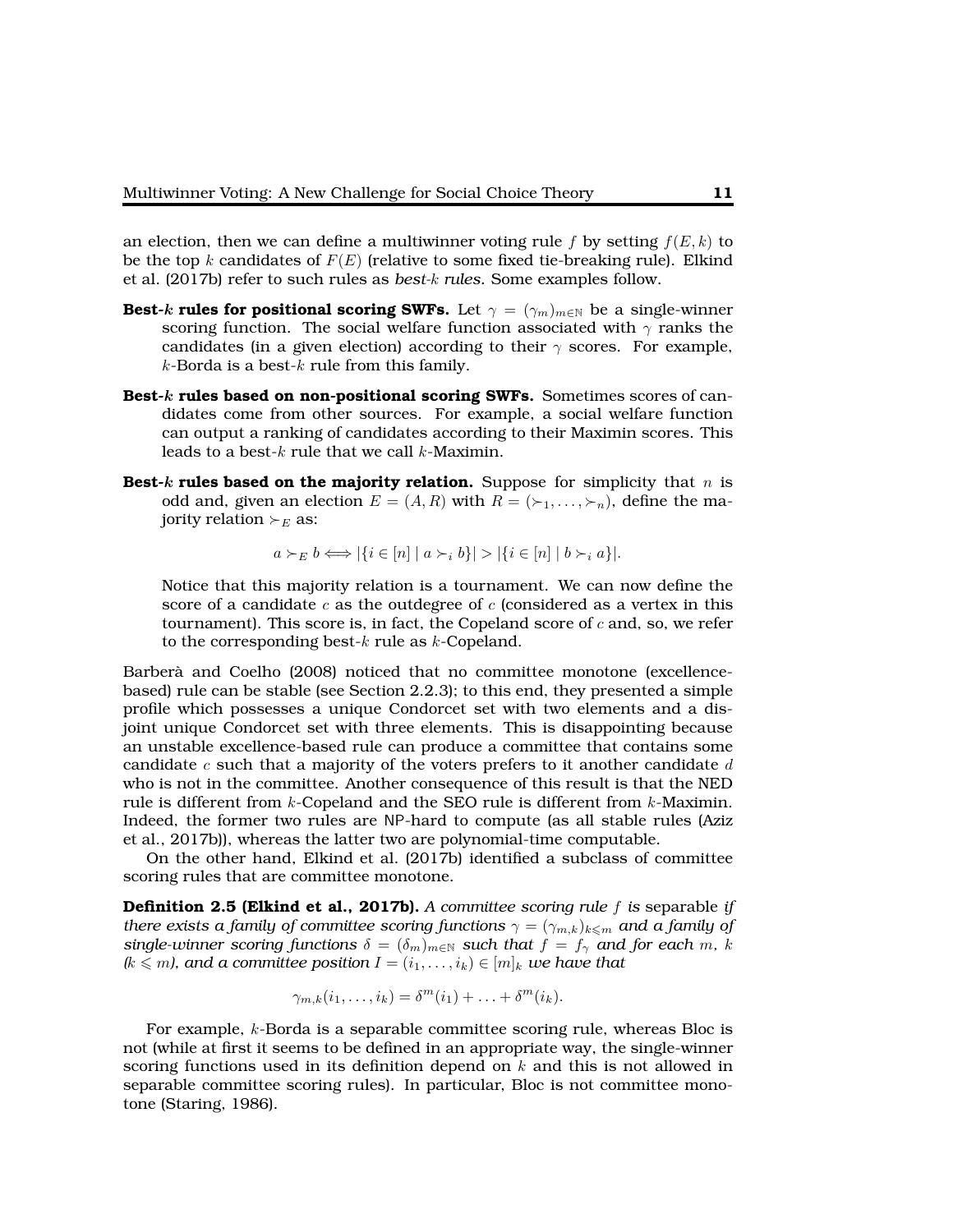an election, then we can define a multiwinner voting rule f by setting  $f(E, k)$  to be the top k candidates of  $F(E)$  (relative to some fixed tie-breaking rule). Elkind et al. (2017b) refer to such rules as *best-*k *rules.* Some examples follow.

- **Best-k rules for positional scoring SWFs.** Let  $\gamma = (\gamma_m)_{m \in \mathbb{N}}$  be a single-winner scoring function. The social welfare function associated with  $\gamma$  ranks the candidates (in a given election) according to their  $\gamma$  scores. For example,  $k$ -Borda is a best- $k$  rule from this family.
- **Best-**k **rules based on non-positional scoring SWFs.** Sometimes scores of candidates come from other sources. For example, a social welfare function can output a ranking of candidates according to their Maximin scores. This leads to a best- $k$  rule that we call  $k$ -Maximin.
- **Best-k rules based on the majority relation.** Suppose for simplicity that n is odd and, given an election  $E = (A, R)$  with  $R = (\succ_1, \ldots, \succ_n)$ , define the majority relation  $\succ_E$  as:

$$
a \succ_E b \iff |\{i \in [n] \mid a \succ_i b\}| > |\{i \in [n] \mid b \succ_i a\}|.
$$

Notice that this majority relation is a tournament. We can now define the score of a candidate  $c$  as the outdegree of  $c$  (considered as a vertex in this tournament). This score is, in fact, the Copeland score of  $c$  and, so, we refer to the corresponding best- $k$  rule as  $k$ -Copeland.

Barberà and Coelho (2008) noticed that no committee monotone (excellencebased) rule can be stable (see Section 2.2.3); to this end, they presented a simple profile which possesses a unique Condorcet set with two elements and a disjoint unique Condorcet set with three elements. This is disappointing because an unstable excellence-based rule can produce a committee that contains some candidate  $c$  such that a majority of the voters prefers to it another candidate  $d$ who is not in the committee. Another consequence of this result is that the NED rule is different from  $k$ -Copeland and the SEO rule is different from  $k$ -Maximin. Indeed, the former two rules are NP-hard to compute (as all stable rules (Aziz et al., 2017b)), whereas the latter two are polynomial-time computable.

On the other hand, Elkind et al. (2017b) identified a subclass of committee scoring rules that are committee monotone.

**Definition 2.5 (Elkind et al., 2017b).** *A committee scoring rule* f *is* separable *if there exists a family of committee scoring functions*  $\gamma = (\gamma_{m,k})_{k \leq m}$  *and a family of single-winner scoring functions*  $\delta = (\delta_m)_{m \in \mathbb{N}}$  *such that*  $f = f_\gamma$  *and for each* m, k  $(k \leq m)$ , and a committee position  $I = (i_1, \ldots, i_k) \in [m]_k$  *we have that* 

$$
\gamma_{m,k}(i_1,\ldots,i_k)=\delta^m(i_1)+\ldots+\delta^m(i_k).
$$

For example, k-Borda is a separable committee scoring rule, whereas Bloc is not (while at first it seems to be defined in an appropriate way, the single-winner scoring functions used in its definition depend on  $k$  and this is not allowed in separable committee scoring rules). In particular, Bloc is not committee monotone (Staring, 1986).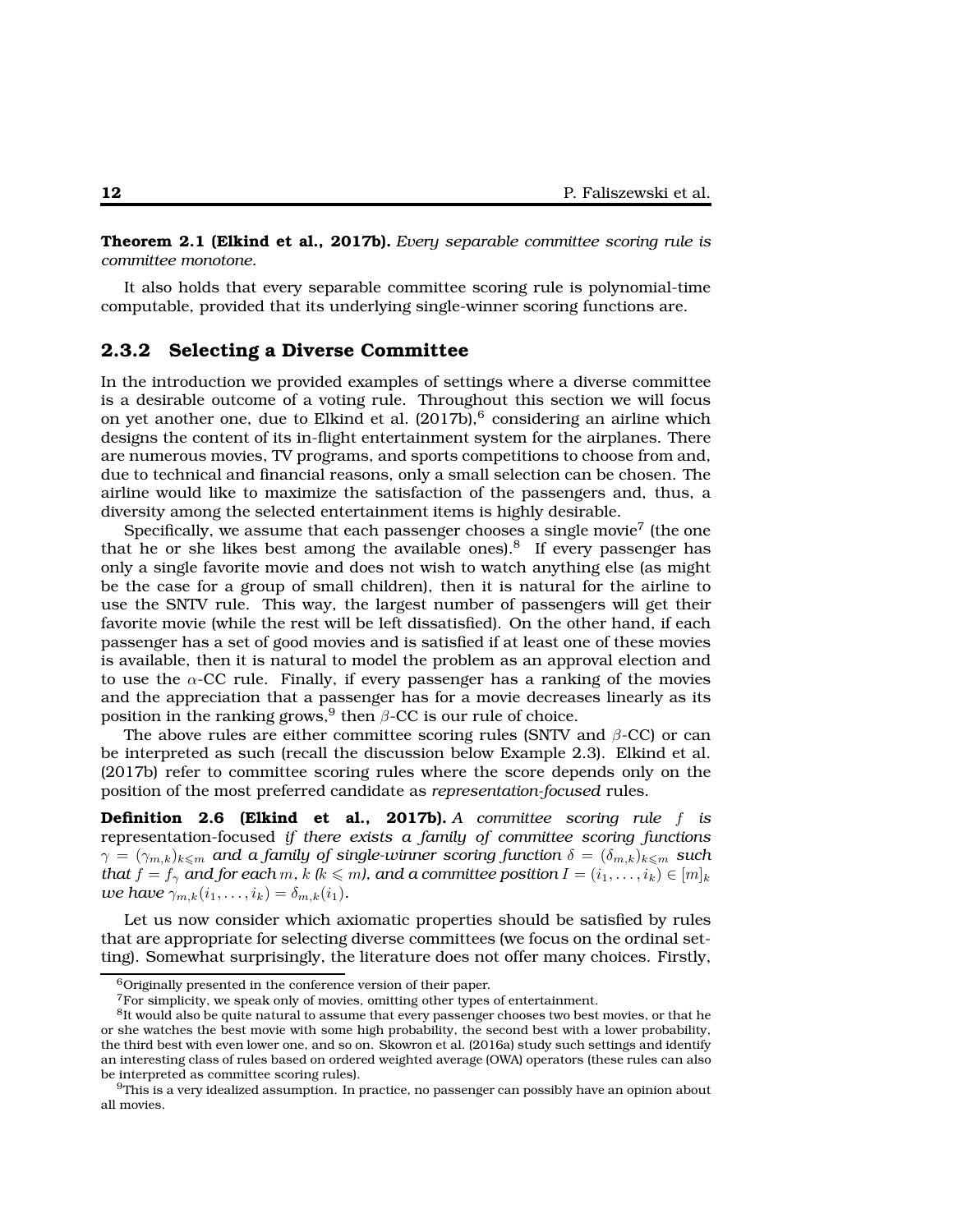**Theorem 2.1 (Elkind et al., 2017b).** *Every separable committee scoring rule is committee monotone.*

It also holds that every separable committee scoring rule is polynomial-time computable, provided that its underlying single-winner scoring functions are.

#### **2.3.2 Selecting a Diverse Committee**

In the introduction we provided examples of settings where a diverse committee is a desirable outcome of a voting rule. Throughout this section we will focus on yet another one, due to Elkind et al.  $(2017b)$ , considering an airline which designs the content of its in-flight entertainment system for the airplanes. There are numerous movies, TV programs, and sports competitions to choose from and, due to technical and financial reasons, only a small selection can be chosen. The airline would like to maximize the satisfaction of the passengers and, thus, a diversity among the selected entertainment items is highly desirable.

Specifically, we assume that each passenger chooses a single movie<sup>7</sup> (the one that he or she likes best among the available ones). $8$  If every passenger has only a single favorite movie and does not wish to watch anything else (as might be the case for a group of small children), then it is natural for the airline to use the SNTV rule. This way, the largest number of passengers will get their favorite movie (while the rest will be left dissatisfied). On the other hand, if each passenger has a set of good movies and is satisfied if at least one of these movies is available, then it is natural to model the problem as an approval election and to use the  $\alpha$ -CC rule. Finally, if every passenger has a ranking of the movies and the appreciation that a passenger has for a movie decreases linearly as its position in the ranking grows, $^9$  then  $\beta$ -CC is our rule of choice.

The above rules are either committee scoring rules (SNTV and  $\beta$ -CC) or can be interpreted as such (recall the discussion below Example 2.3). Elkind et al. (2017b) refer to committee scoring rules where the score depends only on the position of the most preferred candidate as *representation-focused* rules.

**Definition 2.6 (Elkind et al., 2017b).** *A committee scoring rule* f *is* representation-focused *if there exists a family of committee scoring functions*  $\gamma = (\gamma_{m,k})_{k \leq m}$  *and a family of single-winner scoring function*  $\delta = (\delta_{m,k})_{k \leq m}$  *such that*  $f = f_\gamma$  *and for each*  $m$ ,  $k$  ( $k \leq m$ ), and a committee position  $I = (i_1, \ldots, i_k) \in [m]_k$ *we have*  $\gamma_{m,k}(i_1,\ldots,i_k) = \delta_{m,k}(i_1)$ *.* 

Let us now consider which axiomatic properties should be satisfied by rules that are appropriate for selecting diverse committees (we focus on the ordinal setting). Somewhat surprisingly, the literature does not offer many choices. Firstly,

<sup>6</sup>Originally presented in the conference version of their paper.

<sup>&</sup>lt;sup>7</sup>For simplicity, we speak only of movies, omitting other types of entertainment.

<sup>&</sup>lt;sup>8</sup>It would also be quite natural to assume that every passenger chooses two best movies, or that he or she watches the best movie with some high probability, the second best with a lower probability, the third best with even lower one, and so on. Skowron et al. (2016a) study such settings and identify an interesting class of rules based on ordered weighted average (OWA) operators (these rules can also be interpreted as committee scoring rules).

 $9$ This is a very idealized assumption. In practice, no passenger can possibly have an opinion about all movies.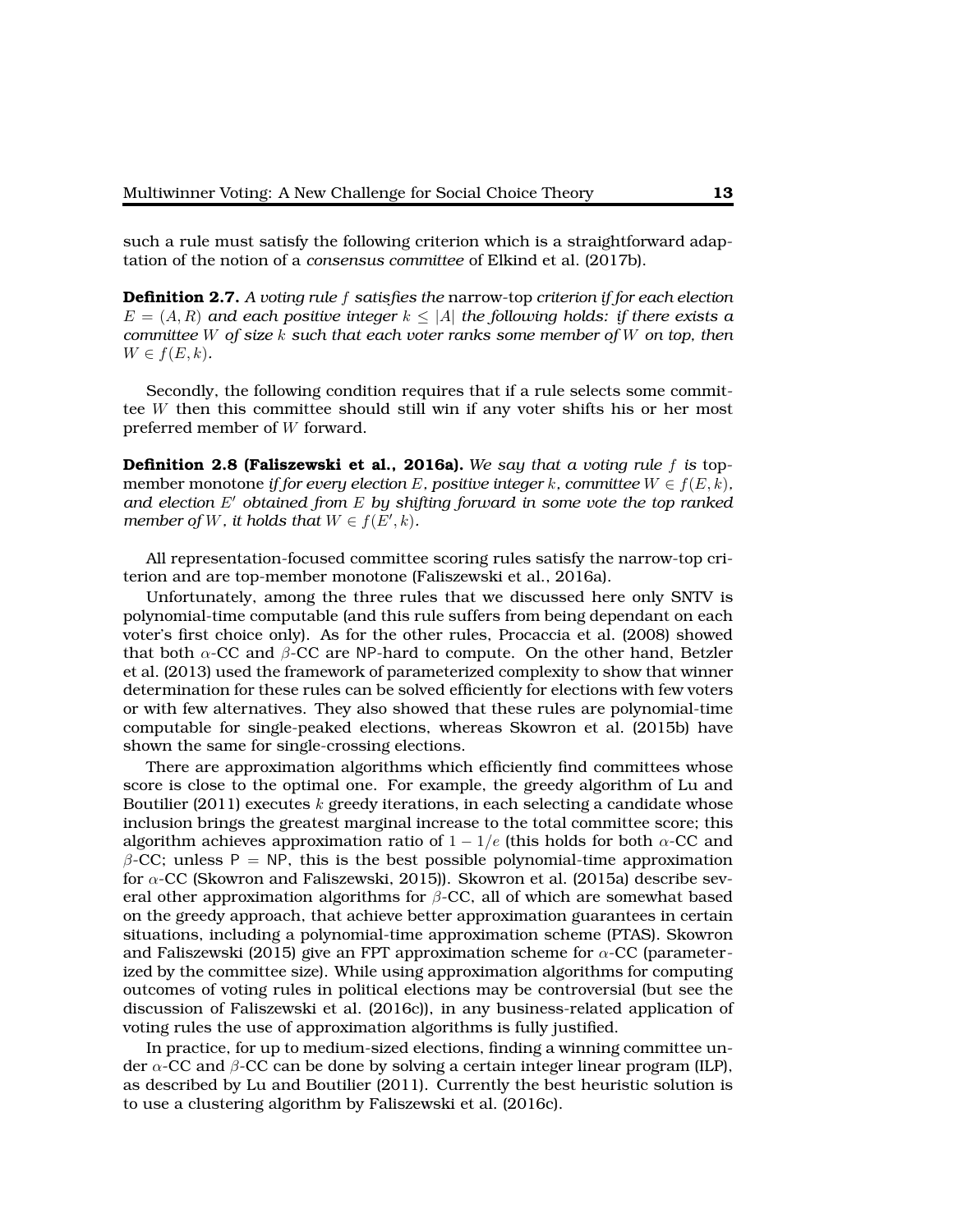such a rule must satisfy the following criterion which is a straightforward adaptation of the notion of a *consensus committee* of Elkind et al. (2017b).

**Definition 2.7.** *A voting rule* f *satisfies the* narrow-top *criterion if for each election*  $E = (A, R)$  and each positive integer  $k \leq |A|$  the following holds: if there exists a *committee* W *of size* k *such that each voter ranks some member of* W *on top, then*  $W \in f(E, k)$ .

Secondly, the following condition requires that if a rule selects some committee W then this committee should still win if any voter shifts his or her most preferred member of W forward.

**Definition 2.8 (Faliszewski et al., 2016a).** *We say that a voting rule* f *is* topmember monotone *if for every election* E, positive integer k, committee  $W \in f(E, k)$ , *and election* E′ *obtained from* E *by shifting forward in some vote the top ranked member of W, it holds that*  $W \in f(E', k)$ *.* 

All representation-focused committee scoring rules satisfy the narrow-top criterion and are top-member monotone (Faliszewski et al., 2016a).

Unfortunately, among the three rules that we discussed here only SNTV is polynomial-time computable (and this rule suffers from being dependant on each voter's first choice only). As for the other rules, Procaccia et al. (2008) showed that both  $\alpha$ -CC and  $\beta$ -CC are NP-hard to compute. On the other hand, Betzler et al. (2013) used the framework of parameterized complexity to show that winner determination for these rules can be solved efficiently for elections with few voters or with few alternatives. They also showed that these rules are polynomial-time computable for single-peaked elections, whereas Skowron et al. (2015b) have shown the same for single-crossing elections.

There are approximation algorithms which efficiently find committees whose score is close to the optimal one. For example, the greedy algorithm of Lu and Boutilier (2011) executes  $k$  greedy iterations, in each selecting a candidate whose inclusion brings the greatest marginal increase to the total committee score; this algorithm achieves approximation ratio of  $1 - 1/e$  (this holds for both  $\alpha$ -CC and  $β$ -CC; unless P = NP, this is the best possible polynomial-time approximation for  $\alpha$ -CC (Skowron and Faliszewski, 2015)). Skowron et al. (2015a) describe several other approximation algorithms for  $\beta$ -CC, all of which are somewhat based on the greedy approach, that achieve better approximation guarantees in certain situations, including a polynomial-time approximation scheme (PTAS). Skowron and Faliszewski (2015) give an FPT approximation scheme for  $\alpha$ -CC (parameterized by the committee size). While using approximation algorithms for computing outcomes of voting rules in political elections may be controversial (but see the discussion of Faliszewski et al. (2016c)), in any business-related application of voting rules the use of approximation algorithms is fully justified.

In practice, for up to medium-sized elections, finding a winning committee under  $\alpha$ -CC and  $\beta$ -CC can be done by solving a certain integer linear program (ILP), as described by Lu and Boutilier (2011). Currently the best heuristic solution is to use a clustering algorithm by Faliszewski et al. (2016c).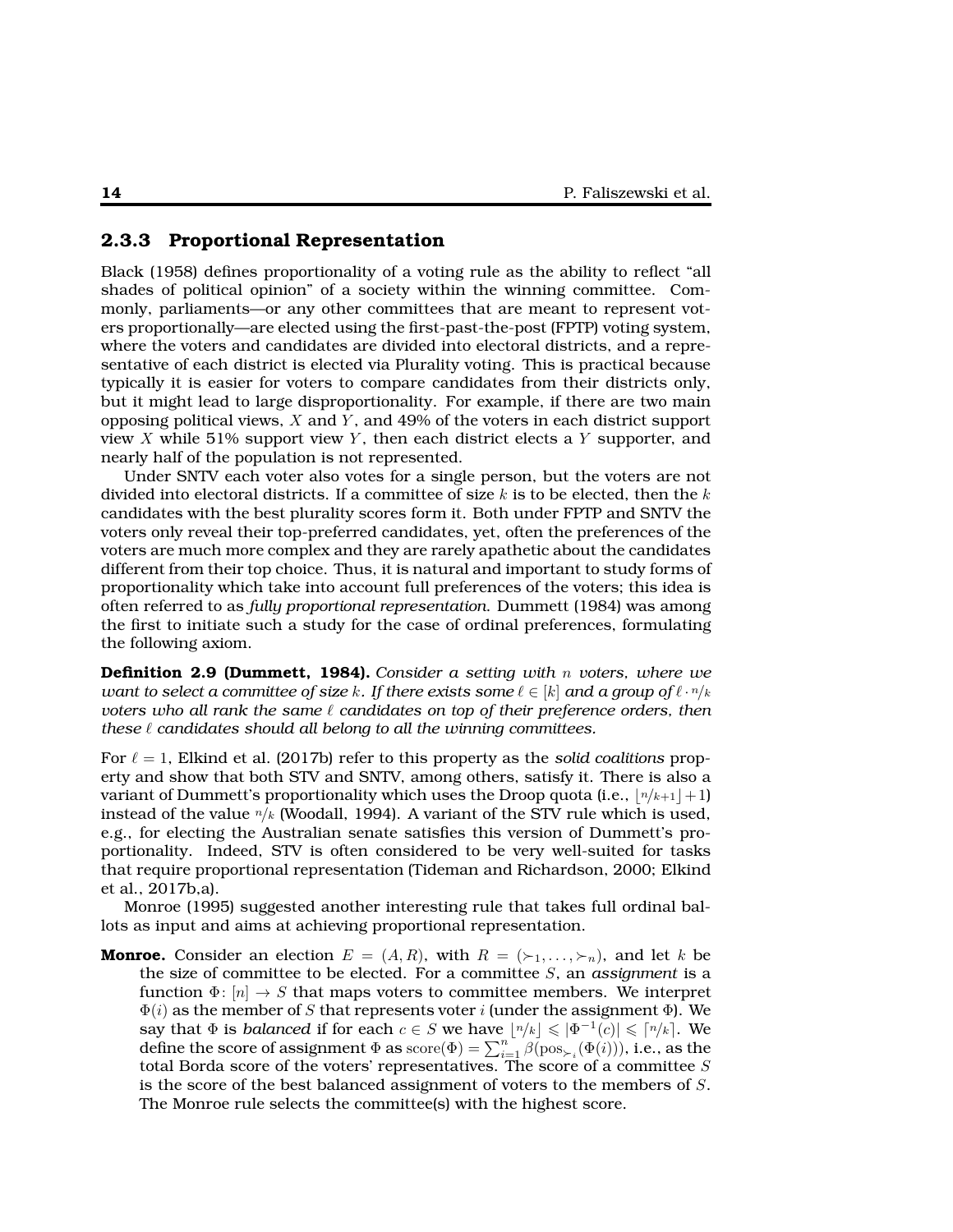#### **2.3.3 Proportional Representation**

Black (1958) defines proportionality of a voting rule as the ability to reflect "all shades of political opinion" of a society within the winning committee. Commonly, parliaments—or any other committees that are meant to represent voters proportionally—are elected using the first-past-the-post (FPTP) voting system, where the voters and candidates are divided into electoral districts, and a representative of each district is elected via Plurality voting. This is practical because typically it is easier for voters to compare candidates from their districts only, but it might lead to large disproportionality. For example, if there are two main opposing political views,  $X$  and  $Y$ , and 49% of the voters in each district support view X while 51% support view Y, then each district elects a Y supporter, and nearly half of the population is not represented.

Under SNTV each voter also votes for a single person, but the voters are not divided into electoral districts. If a committee of size  $k$  is to be elected, then the  $k$ candidates with the best plurality scores form it. Both under FPTP and SNTV the voters only reveal their top-preferred candidates, yet, often the preferences of the voters are much more complex and they are rarely apathetic about the candidates different from their top choice. Thus, it is natural and important to study forms of proportionality which take into account full preferences of the voters; this idea is often referred to as *fully proportional representation*. Dummett (1984) was among the first to initiate such a study for the case of ordinal preferences, formulating the following axiom.

**Definition 2.9 (Dummett, 1984).** *Consider a setting with* n *voters, where we want to select a committee of size* k. If there exists some  $\ell \in [k]$  and a group of  $\ell \cdot n/k$ *voters who all rank the same* ℓ *candidates on top of their preference orders, then these* ℓ *candidates should all belong to all the winning committees.*

For  $\ell = 1$ , Elkind et al. (2017b) refer to this property as the *solid coalitions* property and show that both STV and SNTV, among others, satisfy it. There is also a variant of Dummett's proportionality which uses the Droop quota (i.e.,  $\lfloor n/k+1 \rfloor + 1$ ) instead of the value  $n/k$  (Woodall, 1994). A variant of the STV rule which is used, e.g., for electing the Australian senate satisfies this version of Dummett's proportionality. Indeed, STV is often considered to be very well-suited for tasks that require proportional representation (Tideman and Richardson, 2000; Elkind et al., 2017b,a).

Monroe (1995) suggested another interesting rule that takes full ordinal ballots as input and aims at achieving proportional representation.

**Monroe.** Consider an election  $E = (A, R)$ , with  $R = (\succ_1, \ldots, \succ_n)$ , and let k be the size of committee to be elected. For a committee S, an *assignment* is a function  $\Phi: [n] \to S$  that maps voters to committee members. We interpret  $\Phi(i)$  as the member of S that represents voter i (under the assignment  $\Phi$ ). We say that  $\Phi$  is *balanced* if for each  $c \in S$  we have  $\lfloor n/k \rfloor \leqslant |\Phi^{-1}(c)| \leqslant \lceil n/k \rceil.$  We define the score of assignment  $\Phi$  as  $\mathrm{score}(\Phi) = \sum_{i=1}^{n} \beta(\mathrm{pos}_{\succ_i}(\Phi(i)))$ , i.e., as the total Borda score of the voters' representatives. The score of a committee S is the score of the best balanced assignment of voters to the members of S. The Monroe rule selects the committee(s) with the highest score.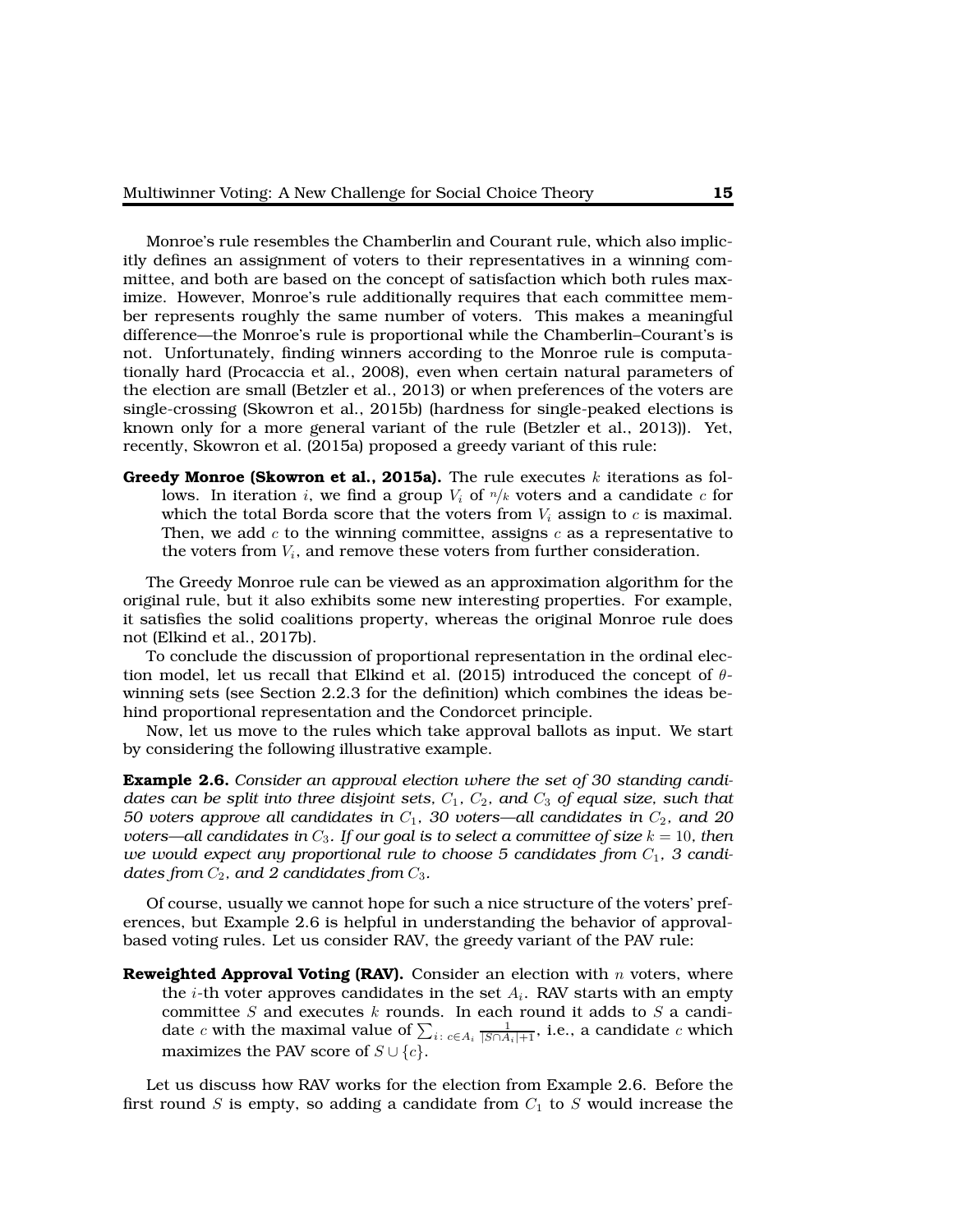Monroe's rule resembles the Chamberlin and Courant rule, which also implicitly defines an assignment of voters to their representatives in a winning committee, and both are based on the concept of satisfaction which both rules maximize. However, Monroe's rule additionally requires that each committee member represents roughly the same number of voters. This makes a meaningful difference—the Monroe's rule is proportional while the Chamberlin–Courant's is not. Unfortunately, finding winners according to the Monroe rule is computationally hard (Procaccia et al., 2008), even when certain natural parameters of the election are small (Betzler et al., 2013) or when preferences of the voters are single-crossing (Skowron et al., 2015b) (hardness for single-peaked elections is known only for a more general variant of the rule (Betzler et al., 2013)). Yet, recently, Skowron et al. (2015a) proposed a greedy variant of this rule:

**Greedy Monroe (Skowron et al., 2015a).** The rule executes  $k$  iterations as follows. In iteration i, we find a group  $V_i$  of  $n/k$  voters and a candidate c for which the total Borda score that the voters from  $V_i$  assign to  $c$  is maximal. Then, we add c to the winning committee, assigns  $c$  as a representative to the voters from  $V_i$ , and remove these voters from further consideration.

The Greedy Monroe rule can be viewed as an approximation algorithm for the original rule, but it also exhibits some new interesting properties. For example, it satisfies the solid coalitions property, whereas the original Monroe rule does not (Elkind et al., 2017b).

To conclude the discussion of proportional representation in the ordinal election model, let us recall that Elkind et al. (2015) introduced the concept of  $\theta$ winning sets (see Section 2.2.3 for the definition) which combines the ideas behind proportional representation and the Condorcet principle.

Now, let us move to the rules which take approval ballots as input. We start by considering the following illustrative example.

**Example 2.6.** *Consider an approval election where the set of 30 standing candidates can be split into three disjoint sets,*  $C_1$ *,*  $C_2$ *, and*  $C_3$  *of equal size, such that 50 voters approve all candidates in*  $C_1$ *, 30 voters—all candidates in*  $C_2$ *, and 20 voters—all candidates in*  $C_3$ *. If our goal is to select a committee of size*  $k = 10$ *, then* we would expect any proportional rule to choose 5 candidates from  $C_1$ , 3 candi*dates from*  $C_2$ *, and 2 candidates from*  $C_3$ *.* 

Of course, usually we cannot hope for such a nice structure of the voters' preferences, but Example 2.6 is helpful in understanding the behavior of approvalbased voting rules. Let us consider RAV, the greedy variant of the PAV rule:

**Reweighted Approval Voting (RAV).** Consider an election with n voters, where the *i*-th voter approves candidates in the set  $A_i$ . RAV starts with an empty committee  $S$  and executes  $k$  rounds. In each round it adds to  $S$  a candidate  $c$  with the maximal value of  $\sum_{i: \; c \in A_i} \frac{1}{|S \cap A_i|+1}$ , i.e., a candidate  $c$  which maximizes the PAV score of  $S \cup \{c\}$ .

Let us discuss how RAV works for the election from Example 2.6. Before the first round S is empty, so adding a candidate from  $C_1$  to S would increase the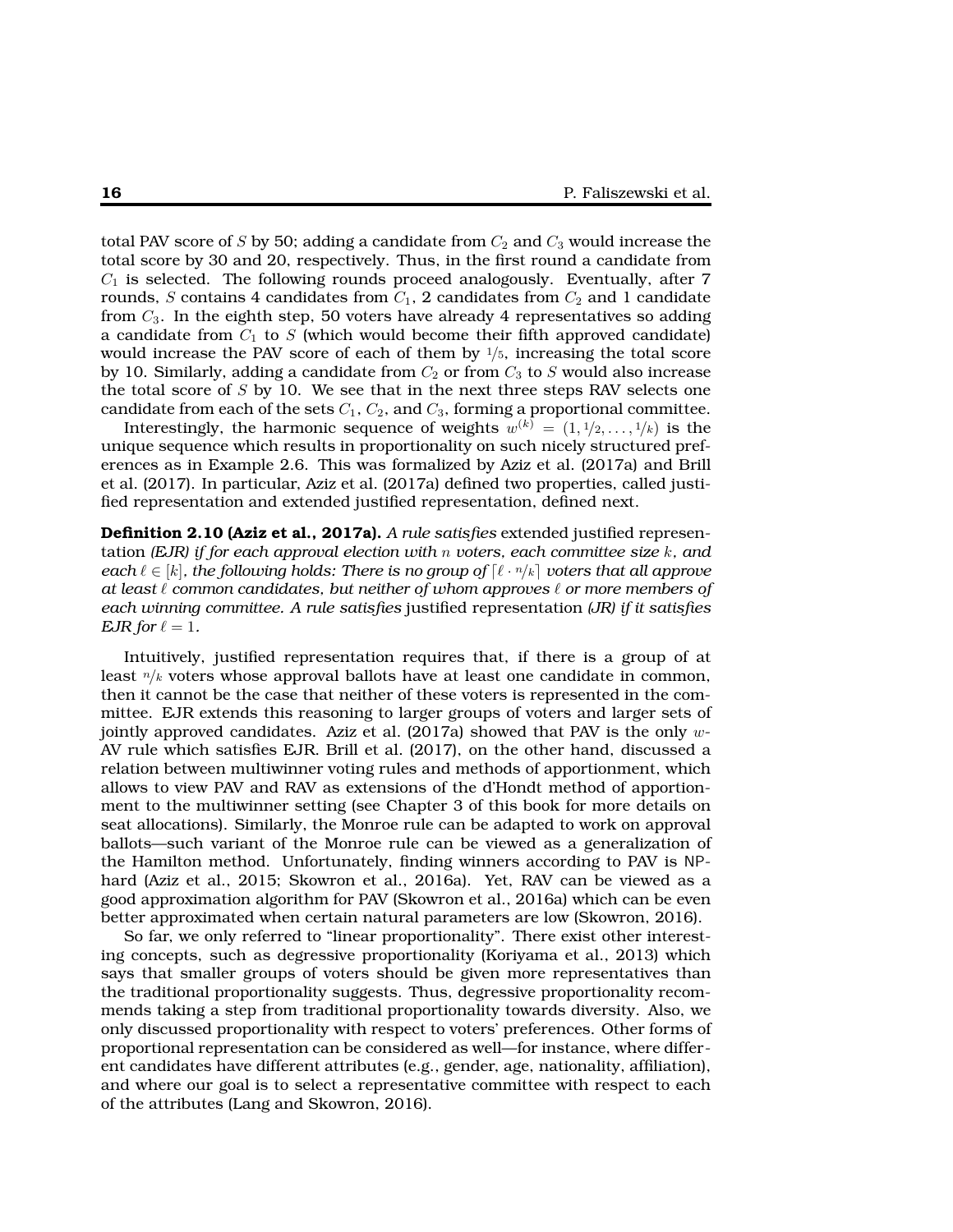total PAV score of S by 50; adding a candidate from  $C_2$  and  $C_3$  would increase the total score by 30 and 20, respectively. Thus, in the first round a candidate from  $C_1$  is selected. The following rounds proceed analogously. Eventually, after 7 rounds, S contains 4 candidates from  $C_1$ , 2 candidates from  $C_2$  and 1 candidate from  $C_3$ . In the eighth step, 50 voters have already 4 representatives so adding a candidate from  $C_1$  to S (which would become their fifth approved candidate) would increase the PAV score of each of them by  $\frac{1}{5}$ , increasing the total score by 10. Similarly, adding a candidate from  $C_2$  or from  $C_3$  to S would also increase the total score of  $S$  by 10. We see that in the next three steps RAV selects one candidate from each of the sets  $C_1$ ,  $C_2$ , and  $C_3$ , forming a proportional committee.

Interestingly, the harmonic sequence of weights  $w^{(k)} = (1, 1/2, \ldots, 1/k)$  is the unique sequence which results in proportionality on such nicely structured preferences as in Example 2.6. This was formalized by Aziz et al. (2017a) and Brill et al. (2017). In particular, Aziz et al. (2017a) defined two properties, called justified representation and extended justified representation, defined next.

**Definition 2.10 (Aziz et al., 2017a).** *A rule satisfies* extended justified representation *(EJR) if for each approval election with* n *voters, each committee size* k*, and each*  $\ell \in [k]$ , the following holds: There is no group of  $[\ell \cdot n/k]$  voters that all approve *at least* ℓ *common candidates, but neither of whom approves* ℓ *or more members of each winning committee. A rule satisfies* justified representation *(JR) if it satisfies EJR* for  $\ell = 1$ *.* 

Intuitively, justified representation requires that, if there is a group of at least  $n/k$  voters whose approval ballots have at least one candidate in common, then it cannot be the case that neither of these voters is represented in the committee. EJR extends this reasoning to larger groups of voters and larger sets of jointly approved candidates. Aziz et al.  $(2017a)$  showed that PAV is the only w-AV rule which satisfies EJR. Brill et al. (2017), on the other hand, discussed a relation between multiwinner voting rules and methods of apportionment, which allows to view PAV and RAV as extensions of the d'Hondt method of apportionment to the multiwinner setting (see Chapter 3 of this book for more details on seat allocations). Similarly, the Monroe rule can be adapted to work on approval ballots—such variant of the Monroe rule can be viewed as a generalization of the Hamilton method. Unfortunately, finding winners according to PAV is NPhard (Aziz et al., 2015; Skowron et al., 2016a). Yet, RAV can be viewed as a good approximation algorithm for PAV (Skowron et al., 2016a) which can be even better approximated when certain natural parameters are low (Skowron, 2016).

So far, we only referred to "linear proportionality". There exist other interesting concepts, such as degressive proportionality (Koriyama et al., 2013) which says that smaller groups of voters should be given more representatives than the traditional proportionality suggests. Thus, degressive proportionality recommends taking a step from traditional proportionality towards diversity. Also, we only discussed proportionality with respect to voters' preferences. Other forms of proportional representation can be considered as well—for instance, where different candidates have different attributes (e.g., gender, age, nationality, affiliation), and where our goal is to select a representative committee with respect to each of the attributes (Lang and Skowron, 2016).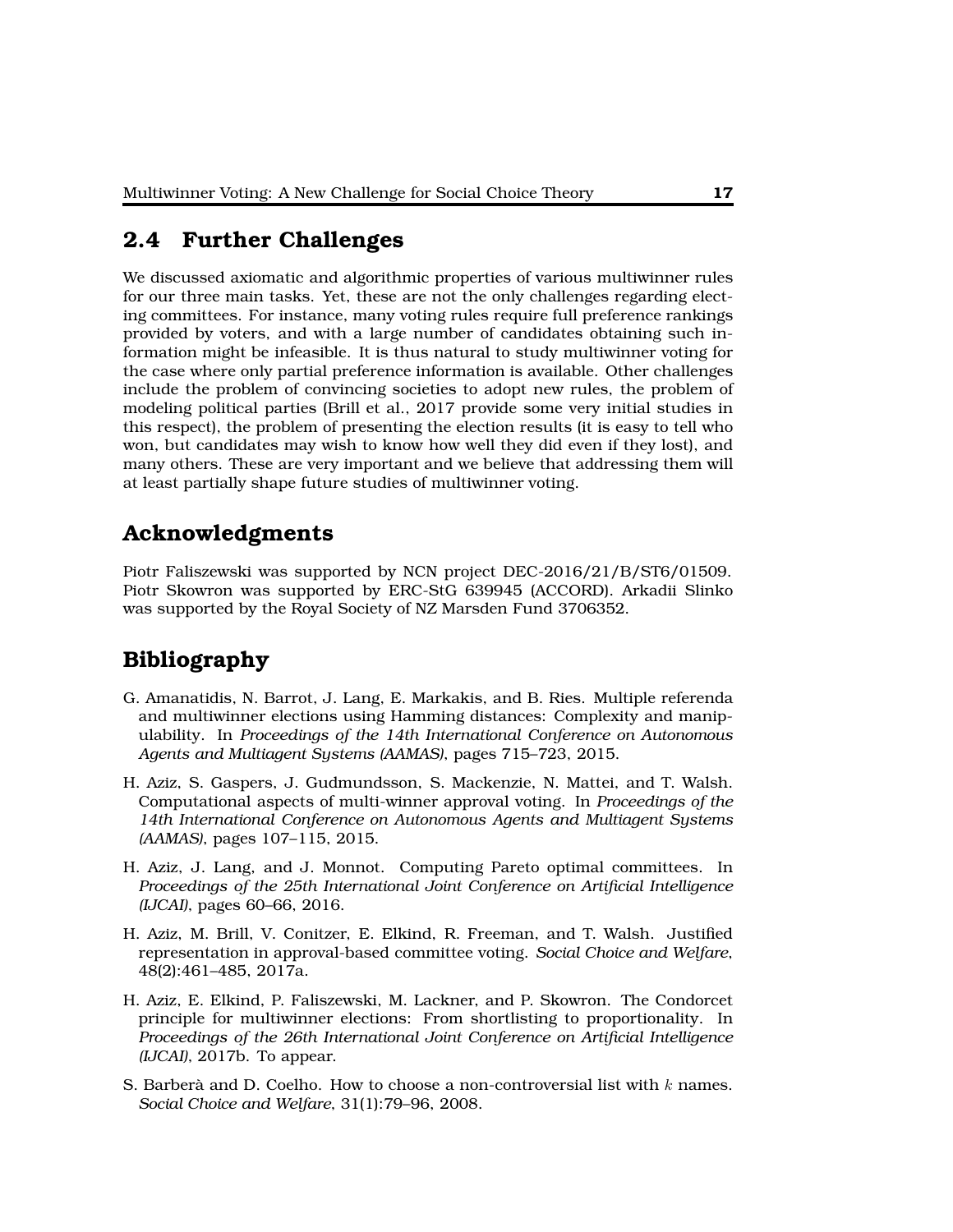### **2.4 Further Challenges**

We discussed axiomatic and algorithmic properties of various multiwinner rules for our three main tasks. Yet, these are not the only challenges regarding electing committees. For instance, many voting rules require full preference rankings provided by voters, and with a large number of candidates obtaining such information might be infeasible. It is thus natural to study multiwinner voting for the case where only partial preference information is available. Other challenges include the problem of convincing societies to adopt new rules, the problem of modeling political parties (Brill et al., 2017 provide some very initial studies in this respect), the problem of presenting the election results (it is easy to tell who won, but candidates may wish to know how well they did even if they lost), and many others. These are very important and we believe that addressing them will at least partially shape future studies of multiwinner voting.

### **Acknowledgments**

Piotr Faliszewski was supported by NCN project DEC-2016/21/B/ST6/01509. Piotr Skowron was supported by ERC-StG 639945 (ACCORD). Arkadii Slinko was supported by the Royal Society of NZ Marsden Fund 3706352.

# **Bibliography**

- G. Amanatidis, N. Barrot, J. Lang, E. Markakis, and B. Ries. Multiple referenda and multiwinner elections using Hamming distances: Complexity and manipulability. In *Proceedings of the 14th International Conference on Autonomous Agents and Multiagent Systems (AAMAS)*, pages 715–723, 2015.
- H. Aziz, S. Gaspers, J. Gudmundsson, S. Mackenzie, N. Mattei, and T. Walsh. Computational aspects of multi-winner approval voting. In *Proceedings of the 14th International Conference on Autonomous Agents and Multiagent Systems (AAMAS)*, pages 107–115, 2015.
- H. Aziz, J. Lang, and J. Monnot. Computing Pareto optimal committees. In *Proceedings of the 25th International Joint Conference on Artificial Intelligence (IJCAI)*, pages 60–66, 2016.
- H. Aziz, M. Brill, V. Conitzer, E. Elkind, R. Freeman, and T. Walsh. Justified representation in approval-based committee voting. *Social Choice and Welfare*, 48(2):461–485, 2017a.
- H. Aziz, E. Elkind, P. Faliszewski, M. Lackner, and P. Skowron. The Condorcet principle for multiwinner elections: From shortlisting to proportionality. In *Proceedings of the 26th International Joint Conference on Artificial Intelligence (IJCAI)*, 2017b. To appear.
- S. Barberà and D. Coelho. How to choose a non-controversial list with  $k$  names. *Social Choice and Welfare*, 31(1):79–96, 2008.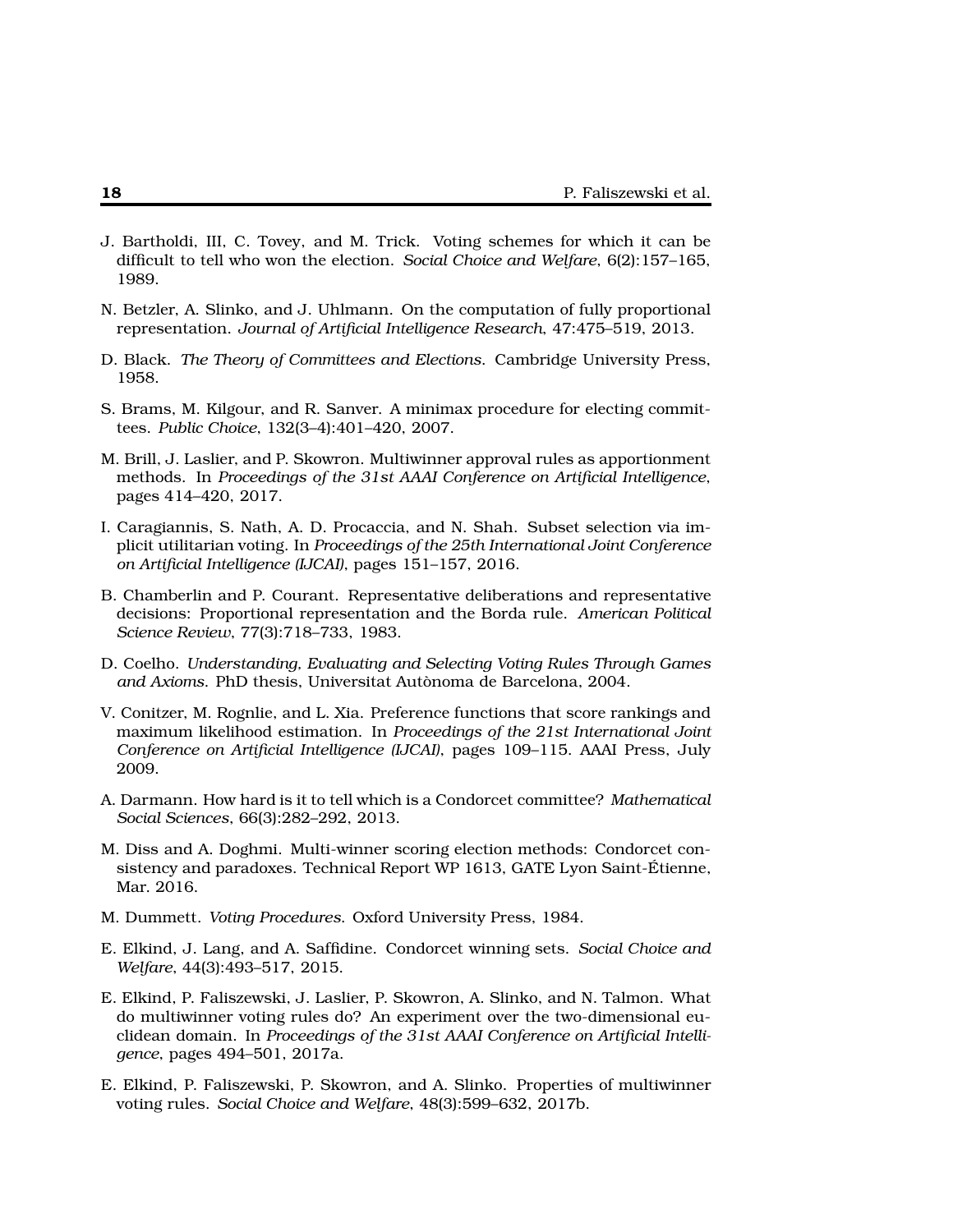- J. Bartholdi, III, C. Tovey, and M. Trick. Voting schemes for which it can be difficult to tell who won the election. *Social Choice and Welfare*, 6(2):157–165, 1989.
- N. Betzler, A. Slinko, and J. Uhlmann. On the computation of fully proportional representation. *Journal of Artificial Intelligence Research*, 47:475–519, 2013.
- D. Black. *The Theory of Committees and Elections*. Cambridge University Press, 1958.
- S. Brams, M. Kilgour, and R. Sanver. A minimax procedure for electing committees. *Public Choice*, 132(3–4):401–420, 2007.
- M. Brill, J. Laslier, and P. Skowron. Multiwinner approval rules as apportionment methods. In *Proceedings of the 31st AAAI Conference on Artificial Intelligence*, pages 414–420, 2017.
- I. Caragiannis, S. Nath, A. D. Procaccia, and N. Shah. Subset selection via implicit utilitarian voting. In *Proceedings of the 25th International Joint Conference on Artificial Intelligence (IJCAI)*, pages 151–157, 2016.
- B. Chamberlin and P. Courant. Representative deliberations and representative decisions: Proportional representation and the Borda rule. *American Political Science Review*, 77(3):718–733, 1983.
- D. Coelho. *Understanding, Evaluating and Selecting Voting Rules Through Games and Axioms*. PhD thesis, Universitat Autònoma de Barcelona, 2004.
- V. Conitzer, M. Rognlie, and L. Xia. Preference functions that score rankings and maximum likelihood estimation. In *Proceedings of the 21st International Joint Conference on Artificial Intelligence (IJCAI)*, pages 109–115. AAAI Press, July 2009.
- A. Darmann. How hard is it to tell which is a Condorcet committee? *Mathematical Social Sciences*, 66(3):282–292, 2013.
- M. Diss and A. Doghmi. Multi-winner scoring election methods: Condorcet consistency and paradoxes. Technical Report WP 1613, GATE Lyon Saint-Étienne, Mar. 2016.
- M. Dummett. *Voting Procedures*. Oxford University Press, 1984.
- E. Elkind, J. Lang, and A. Saffidine. Condorcet winning sets. *Social Choice and Welfare*, 44(3):493–517, 2015.
- E. Elkind, P. Faliszewski, J. Laslier, P. Skowron, A. Slinko, and N. Talmon. What do multiwinner voting rules do? An experiment over the two-dimensional euclidean domain. In *Proceedings of the 31st AAAI Conference on Artificial Intelligence*, pages 494–501, 2017a.
- E. Elkind, P. Faliszewski, P. Skowron, and A. Slinko. Properties of multiwinner voting rules. *Social Choice and Welfare*, 48(3):599–632, 2017b.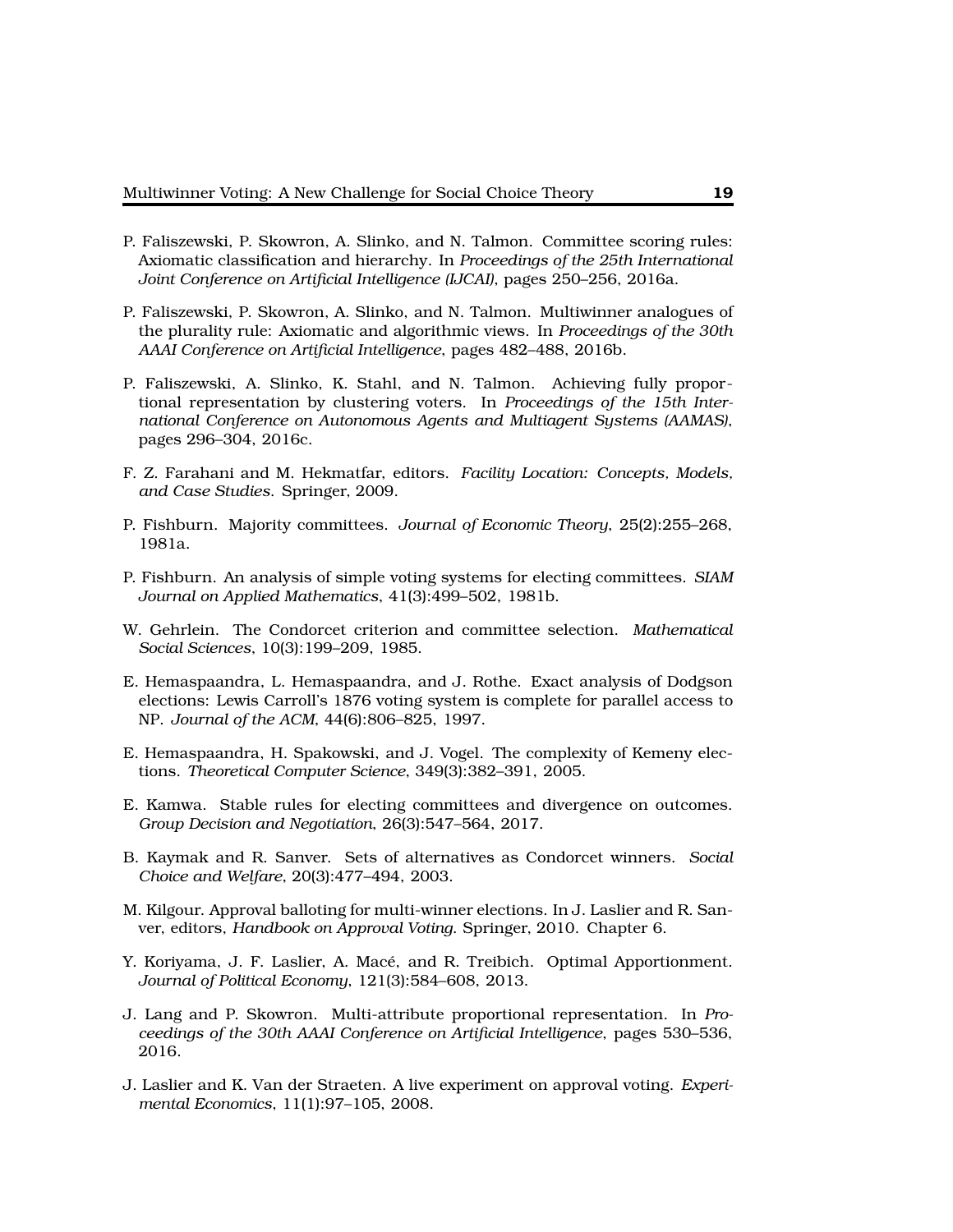- P. Faliszewski, P. Skowron, A. Slinko, and N. Talmon. Committee scoring rules: Axiomatic classification and hierarchy. In *Proceedings of the 25th International Joint Conference on Artificial Intelligence (IJCAI)*, pages 250–256, 2016a.
- P. Faliszewski, P. Skowron, A. Slinko, and N. Talmon. Multiwinner analogues of the plurality rule: Axiomatic and algorithmic views. In *Proceedings of the 30th AAAI Conference on Artificial Intelligence*, pages 482–488, 2016b.
- P. Faliszewski, A. Slinko, K. Stahl, and N. Talmon. Achieving fully proportional representation by clustering voters. In *Proceedings of the 15th International Conference on Autonomous Agents and Multiagent Systems (AAMAS)*, pages 296–304, 2016c.
- F. Z. Farahani and M. Hekmatfar, editors. *Facility Location: Concepts, Models, and Case Studies*. Springer, 2009.
- P. Fishburn. Majority committees. *Journal of Economic Theory*, 25(2):255–268, 1981a.
- P. Fishburn. An analysis of simple voting systems for electing committees. *SIAM Journal on Applied Mathematics*, 41(3):499–502, 1981b.
- W. Gehrlein. The Condorcet criterion and committee selection. *Mathematical Social Sciences*, 10(3):199–209, 1985.
- E. Hemaspaandra, L. Hemaspaandra, and J. Rothe. Exact analysis of Dodgson elections: Lewis Carroll's 1876 voting system is complete for parallel access to NP. *Journal of the ACM*, 44(6):806–825, 1997.
- E. Hemaspaandra, H. Spakowski, and J. Vogel. The complexity of Kemeny elections. *Theoretical Computer Science*, 349(3):382–391, 2005.
- E. Kamwa. Stable rules for electing committees and divergence on outcomes. *Group Decision and Negotiation*, 26(3):547–564, 2017.
- B. Kaymak and R. Sanver. Sets of alternatives as Condorcet winners. *Social Choice and Welfare*, 20(3):477–494, 2003.
- M. Kilgour. Approval balloting for multi-winner elections. In J. Laslier and R. Sanver, editors, *Handbook on Approval Voting*. Springer, 2010. Chapter 6.
- Y. Koriyama, J. F. Laslier, A. Macé, and R. Treibich. Optimal Apportionment. *Journal of Political Economy*, 121(3):584–608, 2013.
- J. Lang and P. Skowron. Multi-attribute proportional representation. In *Proceedings of the 30th AAAI Conference on Artificial Intelligence*, pages 530–536, 2016.
- J. Laslier and K. Van der Straeten. A live experiment on approval voting. *Experimental Economics*, 11(1):97–105, 2008.